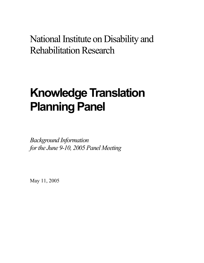National Institute on Disability and **Rehabilitation Research** 

# **Knowledge Translation Planning Panel**

*Background Information forthe June 9-10, 2005 Panel Meeting*

May 11, 2005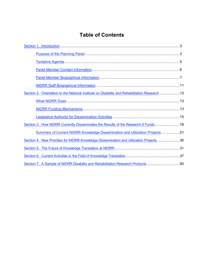## **Table of Contents**

| Section 2. Orientation to the National Institute on Disability and Rehabilitation Research 13 |  |
|-----------------------------------------------------------------------------------------------|--|
|                                                                                               |  |
|                                                                                               |  |
|                                                                                               |  |
| Section 3. How NIDRR Currently Disseminates the Results of the Research It Funds 18           |  |
| Summary of Current NIDRR Knowledge Dissemination and Utilization Projects21                   |  |
| Section 4. New Priorities for NIDRR Knowledge Dissemination and Utilization Projects 30       |  |
|                                                                                               |  |
|                                                                                               |  |
| Section 7. A Sample of NIDRR Disability and Rehabilitation Research Products 50               |  |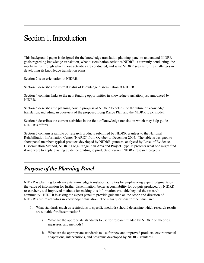## Section 1. Introduction

This background paper is designed for the knowledge translation planning panel to understand NIDRR goals regarding knowledge translation, what dissemination activities NIDRR is currently conducting, the mechanisms through which those activities are conducted, and what NIDRR sees as future challenges in developing its knowledge translation plans.

Section 2 is an orientation to NIDRR.

Section 3 describes the current status of knowledge dissemination at NIDRR.

Section 4 contains links to the new funding opportunities in knowledge translation just announced by NIDRR.

Section 5 describes the planning now in progress at NIDRR to determine the future of knowledge translation, including an overview of the proposed Long Range Plan and the NIDRR logic model.

Section 6 describes the current activities in the field of knowledge translation which may help guide NIDRR's efforts.

Section 7 contains a sample of research products submitted by NIDRR grantees to the National Rehabilitation Information Center (NARIC) from October to December 2004. The table is designed to show panel members typical products developed by NIDRR grantees, analyzed by Level of Evidence, Dissemination Method, NIDRR Long-Range Plan Area and Project Type. It presents what one might find if one were to apply existing evidence grading to products of current NIDRR research projects.

## *Purpose of the Planning Panel*

NIDRR is planning to advance its knowledge translation activities by emphasizing expert judgments on the value of information for further dissemination, better accountability for outputs produced by NIDRR researchers, and improved methods for making this information available beyond the research community. NIDRR is asking the expert panel to provide guidance on the scope and direction of NIDRR's future activities in knowledge translation. The main questions for the panel are:

- 1. What standards (such as restrictions to specific methods) should determine which research results are suitable for dissemination?
	- a. What are the appropriate standards to use for research funded by NIDRR on theories, measures, and methods?
	- b. What are the appropriate standards to use for new and improved products, environmental adaptations, interventions, and programs developed by NIDRR grantees?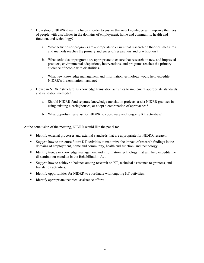- 2. How should NIDRR direct its funds in order to ensure that new knowledge will improve the lives of people with disabilities in the domains of employment, home and community, health and function, and technology?
	- a. What activities or programs are appropriate to ensure that research on theories, measures, and methods reaches the primary audiences of researchers and practitioners?
	- b. What activities or programs are appropriate to ensure that research on new and improved products, environmental adaptations, interventions, and programs reaches the primary audience of people with disabilities?
	- c. What new knowledge management and information technology would help expedite NIDRR's dissemination mandate?
- 3. How can NIDRR structure its knowledge translation activities to implement appropriate standards and validation methods?
	- a. Should NIDRR fund separate knowledge translation projects, assist NIDRR grantees in using existing clearinghouses, or adopt a combination of approaches?
	- b. What opportunities exist for NIDRR to coordinate with ongoing KT activities?

At the conclusion of the meeting, NIDRR would like the panel to:

- Identify external processes and external standards that are appropriate for NIDRR research.
- Suggest how to structure future KT activities to maximize the impact of research findings in the domains of employment, home and community, health and function, and technology.
- Identify trends in knowledge management and information technology that will help expedite the dissemination mandate in the Rehabilitation Act.
- Suggest how to achieve a balance among research on KT, technical assistance to grantees, and translation activities.
- Identify opportunities for NIDRR to coordinate with ongoing KT activities.
- Identify appropriate technical assistance efforts.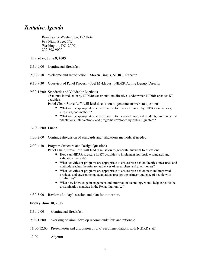## *TentativeAgenda*

Renaissance Washington, DC Hotel 999 Ninth Street NW Washington, DC 20001 202-898-9000

#### Thursday, June 9, 2005

- 8:30-9:00 Continental Breakfast
- 9:00-9:10 Welcome and Introduction Steven Tingus, NIDRR Director
- 9:10-9:30 Overview of Panel Process Joel Myklebust, NIDRR Acting Deputy Director

#### 9:30-12:00 Standards and Validation Methods

15 minute introduction by NIDRR: constraints and directives under which NIDRR operates KT activities.

Panel Chair, Steve Leff, will lead discussion to generate answers to questions

- What are the appropriate standards to use for research funded by NIDRR on theories, measures, and methods?
- What are the appropriate standards to use for new and improved products, environmental adaptations, interventions, and programs developed by NIDRR grantees?
- 12:00-1:00 Lunch
- 1:00-2:00 Continue discussion of standards and validations methods, if needed.

#### 2:00-4:30 Program Structure and Design Questions

Panel Chair, Steve Leff, will lead discussion to generate answers to questions

- How can NIDRR structure its KT activities to implement appropriate standards and validation methods?
- What activities or programs are appropriate to ensure research on theories, measures, and methods reaches the primary audiences of researchers and practitioners?
- What activities or programs are appropriate to ensure research on new and improved products and environmental adaptations reaches the primary audience of people with disabilities?
- What new knowledge management and information technology would help expedite the dissemination mandate in the Rehabilitation Act?

4:30-5:00 Review of today's session and plan for tomorrow.

#### Friday, June 10, 2005

- 8:30-9:00 Continental Breakfast
- 9:00-11:00 Working Session: develop recommendations and rationale.
- 11:00-12:00 Presentation and discussion of draft recommendations with NIDRR staff

#### 12:00 Adjourn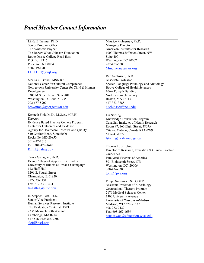## *Panel Member ContactInformation*

Linda Bilheimer, Ph.D. Senior Program Officer The Synthesis Project The Robert Wood Johnson Foundation Route One & College Road East P.O. Box 2316 Princeton, NJ 08543 888-719-1909 LBILHEI@rwjf.org

Marisa C. Brown, MSN RN National Center for Cultural Competence Georgetown University Center for Child & Human Development 3307 M Street, N.W., Suite 401 Washington, DC 20007-3935 202-687-8907 brownm4@georgetown.edu

Kenneth Fink, M.D., M.G.A., M.P.H. **Director** Evidence Based Practice Centers Program Center for Outcomes and Evidence Agency for Healthcare Research and Quality 540 Gaither Road, Suite 6000 Rockville, MD 20850 301-427-1617 Fax: 301-427-1640 KFink@ahrq.gov

Tanya Gallagher, Ph.D. Dean, College of Applied Life Studies University of Illinois at Urbana-Champaign 112 Huff Hall 1206 S. Fourth Street Champaign, IL 61820 217-333-2131 Fax: 217-333-0404 tmgallag@uiuc.edu

H. Stephen Leff, Ph.D. Senior Vice President Human Services Research Institute The Evaluation Center at HSRI 2336 Massachusetts Avenue Cambridge, MA 02140 617-876-0426 ext. 2507 sleff@hsri.org

Maurice McInerney, Ph.D. Managing Director American Institutes for Research 1000 Thomas Jefferson Street, NW Suite 400 Washington, DC 20007 202-403-5000 Mmcinerney@air.org

Ralf Schlosser, Ph.D. Associate Professor Speech-Language Pathology and Audiology Bouve College of Health Sciences 106A Forsyth Building Northeastern University Boston, MA 02115 617-373-3785 r.schlosser@neu.edu

Liz Stirling Knowledge Translation Program Canadian Institutes of Health Research Room 97, 160 Elgin Street, 4809A Ottawa, Ontario, Canada K1A 0W9 613-941-1072 lstirling@cihr-irsc.gc.ca

Thomas E. Stripling Director of Research, Education & Clinical Practice Guidelines Paralyzed Veterans of America 801 Eighteenth Street, NW Washington, DC 20006 800-424-8200 toms@pva.org

Pimjai Sudsawad, ScD, OTR Assistant Professor of Kinesiology Occupational Therapy Program 2176 Medical Sciences Center 1300 University Avenue University of Wisconsin-Madison Madison, WI 53706-1532 608-262-7422 Fax: 608-262-1639 psudsawad@education.wisc.edu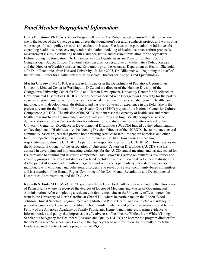## *Panel Member BiographicalInformation*

Linda Bilheimer, Ph.D., is a Senior Program Officer at The Robert Wood Johnson Foundation, where she is the leader of the Coverage team, directs the Foundation's research synthesis project, and works on a wide range of health policy research and evaluation issues. She focuses, in particular, on initiatives for expanding health insurance coverage, microsimulation modeling of health insurance reform proposals, measurement issues in estimating health insurance status, and research translation for policymakers. Before joining the foundation, Dr. Bilheimer was the Deputy Assistant Director for Health at the Congressional Budget Office. Previously she was a senior researcher at Mathematica Policy Research and the Director of Health Statistics and Epidemiology at the Arkansas Department of Health. She holds a Ph.D. in Economics from Harvard University. In June 2005, Dr. Bilheimer will be joining the staff of the National Center for Health Statistics as Associate Director for Analysis and Epidemiology.

Marisa C. Brown, MSN, RN, is a research instructor in the Department of Pediatrics, Georgetown University Medical Center in Washington, D.C., and the director of the Nursing Division of the Georgetown University Center for Child and Human Development, University Center for Excellence in Developmental Disabilities (UCDD). She has been associated with Georgetown University for the past 22 years serving in many capacities. She is an advanced nurse practitioner specializing in the health care of individuals with developmental disabilities, and has over 20 years of experience in the field. She is the project director for the Bureau of Primary Health Care (BPHC) project of the National Center for Cultural Competence (NCCC). The mission of the NCCC is to increase the capacity of health care and mental health programs to design, implement and evaluate culturally and linguistically competent service delivery systems. She is the coordinator for information and dissemination activities related to the University Center for Excellence in Developmental Disabilities (UCEDD) funded by the Administration on Developmental Disabilities. As the Nursing Division Director of the UCEDD, she coordinates several community-based projects that provide home visiting services to families that are homeless and other families impacted by poverty, disability and substance abuse. Ms. Brown also has teaching responsibilities within the UCEDD. As part of her responsibilities for the UCEDD, Ms. Brown serves on the Multicultural Council of the Association of University Centers on Disabilities (AUCD). She has assisted in developing and implementing workshops for the AUCD annual meeting, and has advocated for issues related to cultural and linguistic competence. Ms. Brown has served on numerous task forces and advisory groups at the local and state level related to children and adults with developmental disabilities. As the parent of a young adult with Asperger's Syndrome, she is particularly interested in advocacy for individuals with emotional and behavioral disorders. She serves on several community-based committees and is a member of the Human Rights Committee of the D.C. Mental Retardation and Developmental Disabilities Administration, and the D.C. Arc.

Kenneth S. Fink, M.D., MGA, MPH, graduated from Haverford College before attending the University of Pennsylvania where he received the degrees of Doctor of Medicine and Master of Governmental Administration. After completing a residency in family medicine at the University of Washington, he went to the University of North Carolina at Chapel Hill where he participated in the Robert Wood Johnson Clinical Scholars Program, received a Master of Public Health, and completed a residency in preventive medicine. He is board certified in both family medicine and preventive medicine, and he is a Fellow of the American Academy of Family Physicians. Kenny's main interest is using evidence to inform practice and policy that improves the effectiveness of healthcare. While a Kerr White Visiting Scholar at the Agency for Healthcare Research and Quality (AHRQ) he became the program director for the US Preventive Services Task Force and the Agency's lead on prevention. He currently directs the Evidence-based Practice Centers program at AHRQ.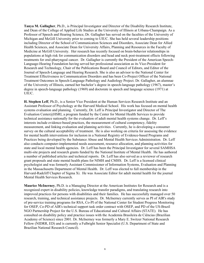Tanya M. Gallagher, Ph.D., is Principal Investigator and Director of the Disability Research Institute, and Dean of the College of Applied Life Studies at the University of Illinois at Urbana-Champaign. As a Professor of Speech and Hearing Science, Dr. Gallagher has served on the faculties of the University of Michigan and McGill University prior to coming to UIUC. She has held several leadership positions including Director of the School of Communication Sciences and Disorders, Associate Dean for Allied Health Sciences, and Associate Dean for University Affairs, Planning and Resources in the Faculty of Medicine at McGill University. Her research has recently focused on brain-behavior relationships in populations at high risk for communication disorders and head and neck post-treatment effects following treatments for oral-pharyngeal cancer. Dr. Gallagher is currently the President of the American Speech-Language-Hearing Foundation having served her professional association as its Vice-President for Research and Technology, Chair of the Publications Board and Council of Editors, and Editor of the Journal of Speech-Language and Hearing Research. She is also an advisor to the National Center for Treatment Effectiveness in Communication Disorders and has been Co-Project Officer of the National Treatment Outcomes in Speech-Language Pathology and Audiology Project. Dr. Gallagher, an alumnae of the University of Illinois, earned her bachelor's degree in speech-language pathology (1967), master's degree in speech-language pathology (1969) and doctorate in speech and language science (1971) at UIUC.

H. Stephen Leff, Ph.D., is a Senior Vice President at the Human Services Research Institute and an Assistant Professor of Psychology at the Harvard Medical School. His work has focused on mental health systems evaluation and planning. Currently, Dr. Leff is Principal Investigator and Director of The Evaluation Center@HSRI, a program funded by the Center for Mental Health Services to provide technical assistance nationally for the evaluation of adult mental health systems change. Dr. Leff's interests include evidence-based practices, the measurement of cultural competency, fidelity measurement, and linking evaluation and planning activities. Currently, he is developing a consumer survey on the cultural acceptability of treatment. He is also working on criteria for assessing the evidence for mental health interventions for inclusion in a National Registry of Evidence-based Programs and Practices being developed by the Substance Abuse and Mental Health Services Administration. Dr. Leff also conducts computer-implemented needs assessment, resource allocation, and planning activities for state and local mental health agencies. Dr. Leff has been the Principal Investigator for several SAMHSA multi-site projects and research grants funded by the National Institute of Mental Health. He has authored a number of published articles and technical reports. Dr. Leff has also served as a reviewer of research grant proposals and state mental health plans for NIMH and CMHS. Dr. Leff is a licensed clinical psychologist and was formerly Assistant Commissioner of Information Systems, Evaluation and Planning in the Massachusetts Department of Mental Health. Dr. Leff was elected to full membership in the Harvard-Radcliff Chapter of Sigma Xi. He was Associate Editor for adult mental health for the journal Mental Health Services Research.

Maurice McInerney, Ph.D. is a Managing Director at the American Institutes for Research and is a recognized expert in disability policies, knowledge transfer paradigms, and translating research into improved practices for persons with disabilities and their families. He has successfully managed over 50 research, training, and technical assistance projects. Dr. McInerney currently serves as PI of AIR's study of pre-service training programs for RSA, Co-PI of the National Center for Student Progress Monitoring for OSEP, Co-PD of AIR's technical support task order contract with OSEP, and PD of the US-Brazil NGO Partnership Project for the U.S. Bureau of Educational and Cultural Affairs (STATE). He has consulted on disability policy and practice issues with the Academia Brasileira de Ciências (Brazilian Academy of Science) since 2001. Dr. McInerney was formerly a Mary E. Switzer National Research Fellow (NIDRR, ED) and is currently a Fulbright Senior Specialist (U.S. Department of State and Brazilian National Research Council).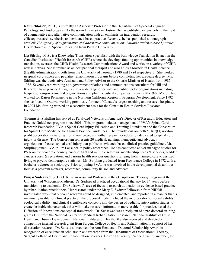Ralf Schlosser, Ph.D., is currently an Associate Professor in the Department of Speech-Language Pathology and Audiology at Northeastern University in Boston. He has published extensively in the field of augmentative and alternative communication with an emphasis on intervention research, efficacy, research synthesis, and evidence-based practice. Recently, he has published a monograph entitled: *The efficacy of augmentative and alternative communication: Towards evidence-based practice.* His doctorate is in Special Education from Purdue University.

Liz Stirling, M.S., is a Knowledge Translation Specialist with the Knowledge Translation Branch in the Canadian Institutes of Health Research (CIHR) where she develops funding opportunities in knowledge translation, oversees the CIHR Health Research Communications Award and works on a variety of CIHR new initiatives. She is trained as an occupational therapist and also holds a Masters in Health Science (Health Administration), both from the University of Toronto (1980 and 1984 respectively). She worked in spinal cord, stroke and pediatric rehabilitation programs before completing her graduate degree. Ms. Stirling was the Legislative Assistant and Policy Advisor to the Ontario Minister of Health from 1985- 1988. Several years working as a government relations and communications consultant for Hill and Knowlton have provided insights into a wide range of private and public sector organizations including hospitals, non-governmental organizations and pharmaceutical companies. From 1990 -1992, Ms. Stirling worked for Kaiser Permanente in the Northern California Region in Program Development. Since 1992 she has lived in Ottawa, working previously for one of Canada's largest teaching and research hospitals. In 2004 Ms. Stirling worked on a secondment basis for the Canadian Health Services Research Foundation.

Thomas E. Stripling has served as Paralyzed Veterans of America's Director of Research, Education and Practice Guidelines program since 2001. This program includes management of PVA's Spinal Cord Research Foundation, PVA's Spinal Cord Injury Education and Training Foundation and the Consortium for Spinal Cord Medicine for Clinical Practice Guidelines. The foundations are both 501(C)(3) not-forprofit corporations awarding 1 or 2 year projects in either research or education dedicated to spinal cord injury or disease. The Consortium represents 20 medical, nursing, therapeutic and advocacy organizations focused spinal cord injury that publishes evidence-based clinical practice guidelines. Mr. Stripling joined PVA in 1981 as a health policy researcher. He has conducted and/or managed studies for PVA on the economic consequences of SCI and multiple sclerosis, membership needs  $\&$  services, bladder cancer, sports & recreation, and various health services questions ranging from managed care to assisted living to psycho-demographic statistics. Mr. Stripling graduated from Providence College in 1972 with a bachelor's degree in sociology. Prior to joining PVA, he was involved in the developmental disabilities field as a program manager, researcher, community liaison and advocate.

Pimjai Sudsawad, Sc.D, OTR, is an Assistant Professor in the Occupational Therapy Program at the University of Wisconsin-Madison. Dr. Sudsawad practiced occupational therapy for 14 years before transitioning to academia. Dr. Sudsawad's area of focus is research utilization in evidence-based practice by rehabilitation practitioners. Her research under the Mary E. Switzer Fellowship from NIDRR investigated ways that outcome research could be designed, implemented, and reported in a manner that is maximally usable for clinical practice. The proposed model included the incorporation of social validity, ecological validity, and clinical significance concepts into the design of pediatric intervention studies to create desirable characteristics that will make research information more usable for practice, based the Diffusion of Innovations conceptual framework. Dr. Sudsawad was a recipient of a pre-doctoral training grant (T32) from the National Center for Medical Rehabilitation Research, National Institute of Child Health and Human Development, National Institutes of Health. She also received and directed a competitive internal research grant from Sargent College of Health and Rehabilitation in support of her dissertation research. Dr. Sudsawad received the Ann Henderson Doctoral Scholarship Award in recognition of excellence in scholarship and research from the Department of Occupational Therapy, Sargent College of Health and Rehabilitation Sciences, Boston University. While a faculty member, Dr.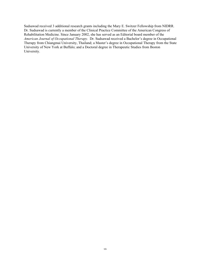Sudsawad received 3 additional research grants including the Mary E. Switzer Fellowship from NIDRR. Dr. Sudsawad is currently a member of the Clinical Practice Committee of the American Congress of Rehabilitation Medicine. Since January 2002, she has served as an Editorial board member of the *American Journal of Occupational Therapy.* Dr. Sudsawad received a Bachelor's degree in Occupational Therapy from Chiangmai University, Thailand; a Master's degree in Occupational Therapy from the State University of New York at Buffalo; and a Doctoral degree in Therapeutic Studies from Boston University.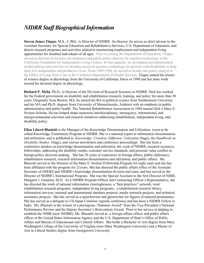## *NIDRR Staff BiographicalInformation*

Steven James Tingus, M.S., C.Phil., is Director of NIDRR. As director, he serves as chief advisor to the Assistant Secretary for Special Education and Rehabilitative Services, U.S. Department of Education, and directs research programs and activities related to maximizing employment and independent living opportunities for disabled individuals of all ages. Prior to joining the Department of Education, Tingus served as director of resource development and public policy director for assistive technology at the California Foundation for Independent Living Centers. In that capacity, he developed and implemented model policies and activities to broaden access to assistive technology for persons with disabilities to help them live independent and productive lives. From 1995-1998, he served as health care policy analyst in the Office of Long Term Care at the California Department of Health Services. Tingus earned his master of science degree in physiology from the University of California, Davis in 1990 and has done work toward his doctoral degree in physiology.

Richard P. Melia, Ph.D., is Director of the Division of Research Sciences at NIDRR. Dick has worked for the Federal government on disability and rehabilitation research, training, and policy for more than 30 years. Originally from Boston, MA, he earned his BA in political science from Northeastern University and his MA and Ph.D. degrees from University of Massachusetts, Amherst with an emphasis in public administration and public health. The National Rehabilitation Association in 1984 named Dick a Mary E. Switzer Scholar. He has helped shape numerous interdisciplinary, interagency, international, and intergovernmental activities and research initiatives addressing rehabilitation, independent living, and disability policy.

Ellen Liberti Blasiotti is the Manager of the Knowledge Dissemination and Utilization (soon to be called Knowledge Translation) Program at NIDRR. She is a national expert in information dissemination and utilization, and is published in *Knowledge: Creation, Diffusion, Utilization* (Sage), the *Handbook on Disability Studies* (Sage), and various newsletters and conference proceedings. She has been a conference speaker on knowledge dissemination and utilization, the work of NIDRR, research resources, fellowships, addressing the disability media, customer service standards, and personal value conflict in foreign policy decision-making. She has 36 years of experience in foreign affairs, public diplomacy, rehabilitation research, research information dissemination and utilization, and public affairs. Ms. Blasiotti served as the Director of the Mary E. Switzer Fellowship Program for eight years and she has been affiliated with the program for 21years. She has directed the public affairs office of the Assistant Secretary of OSERS and NIDRR's knowledge dissemination division and team, and has served as the Director of NIDRR's International Program. She was the Special Assistant to the first Director of NIHR, Margaret J. Giannini, M.D. As a NIDRR Program Officer and Contracting Officer's Representative, she has directed the work of national information clearinghouses, a "best practices" network, rural rehabilitation research programs, independent living programs, a rehabilitation research library, information services, national and international database projects; media outreach projects, and technical assistance projects. She has served as a speechwriter and ghostwriter for figures of national prominence. She has served as a delegate to US-Japan Common Agenda conference and has been a NIDRR Fellow to India. Ms. Blasiotti is the winner of a prestigious "Hammer Award" from the Vice-President's National Performance Review and the Deputy Secretary's Reinvention Award. Prior to her service in helping to establish the NIHR (now NIDRR), Ms. Blasiotti served as a foreign affairs officer and public affairs officer at the United States Information Agency and the U.S. Department of State's Office of Public Affairs and Bureau of Educational and Cultural Affairs. She holds a Bachelor of Arts degree from Mary Washington College of the University of Virginia (now Mary Washington University) and a Master of Arts in Liberal Studies degree from Georgetown University.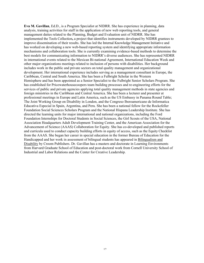Eva M. Gavillan, Ed.D., is a Program Specialist at NIDRR. She has experience in planning, data analysis, training activities for staff in the application of new web reporting tools, and general management duties related to the Planning, Budget and Evaluation unit of NIDRR. She has implemented the Tools Collection, a project that identifies instruments developed by NIDRR grantees to improve dissemination of their results. She has led the Internal Knowledge Management Initiative and has worked on developing a new web-based reporting system and identifying appropriate information mechanisms and collaboration tools. She is currently examining evidence-based methods to determine the best models for communicating information to NIDRR's diverse audiences. She has represented NIDRR in international events related to the Mexican Bi-national Agreement, International Education Week and other major organizations meetings related to inclusion of persons with disabilities. Her background includes work in the public and private sectors on total quality management and organizational development. Her international experience includes serving as a management consultant in Europe, the Caribbean, Central and South America. She has been a Fulbright Scholar in the Western Hemisphere and has been appointed as a Senior Specialist to the Fulbright Senior Scholars Program. She has established for Pricewaterhousecoopers team building processes and re-engineering efforts for the services of public and private agencies applying total quality management methods in state agencies and foreign ministries in the Caribbean and Central America. She has been a lecturer and presenter at professional meetings in Europe and Latin America, such as the US Embassy in Panama Round Table; The Joint Working Group on Disability in London, and the Congreso Iberoamericano de Informatica Educativa Especial in Spain, Argentina, and Peru. She has been a national fellow for the Rockefeller Foundation Social Sciences Scholars Program and the National Hispana Leadership Institute. She has directed the learning units for major international and national organizations, including the Ford Foundation Internships for Doctoral Students in Social Sciences, the Girl Scouts of the USA, National Association Headquarters Adult Development Training Center, and the American Association for the Advancement of Science (AAAS) Collaboration for Equity. She has co-developed and published reports and curricula used to conduct capacity building efforts in equity of access, such as the Equity Checklist from the AAAS. She began her career in special education in the former Bureau of Education for the Handicapped and her work in assessment of bilingual students has appeared in Bilingualism and Disability by Croom Publishers. Dr. Gavillan has a masters and doctorate in Learning Environments from Harvard Graduate School of Education and post-doctoral work from Cornell University School of Industrial and Labor Relations and the Center for Creative Leadership.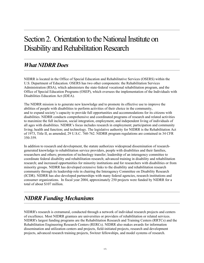## Section 2. Orientation to the National Institute on Disability and Rehabilitation Research

## *What NIDRR Does*

NIDRR is located in the Office of Special Education and Rehabilitative Services (OSERS) within the U.S. Department of Education. OSERS has two other components: the Rehabilitation Services Administration (RSA), which administers the state-federal vocational rehabilitation program, and the Office of Special Education Programs (OSEP), which oversees the implementation of the Individuals with Disabilities Education Act (IDEA).

The NIDRR mission is to generate new knowledge and to promote its effective use to improve the abilities of people with disabilities to perform activities of their choice in the community, and to expand society's capacity to provide full opportunities and accommodations for its citizens with disabilities. NIDRR conducts comprehensive and coordinated programs of research and related activities to maximize the full inclusion, social integration, employment, and independent living of individuals of all ages with disabilities. NIDRR's focus includes research in employment; participation and community living; health and function; and technology. The legislative authority for NIDRR is the Rehabilitation Act of 1973, Title II, as amended, 29 U.S.C. 760-762. NIDRR program regulations are contained in 34 CFR 350-359.

In addition to research and development, the statute authorizes widespread dissemination of researchgenerated knowledge to rehabilitation service providers, people with disabilities and their families, researchers and others; promotion of technology transfer; leadership of an interagency committee to coordinate federal disability and rehabilitation research; advanced training in disability and rehabilitation research; and increased opportunities for minority institutions and for researchers with disabilities or from minority groups. NIDRR has developed extensive links to the disability and rehabilitation research community through its leadership role in chairing the Interagency Committee on Disability Research (ICDR). NIDRR has also developed partnerships with many federal agencies, research institutions and consumer organizations. In fiscal year 2004, approximately 250 projects were funded by NIDRR for a total of about \$107 million.

## *NIDRR Funding Mechanisms*

NIDRR's research is extramural, conducted through a network of individual research projects and centers of excellence. Most NIDRR grantees are universities or providers of rehabilitation or related services. NIDRR's largest funding programs are the Rehabilitation Research and Training Centers (RRTCs) and the Rehabilitation Engineering Research Centers (RERCs). NIDRR also makes awards for information dissemination and utilization centers and projects, field-initiated projects, research and development projects, advanced research training projects, Switzer fellowships, and model systems of research.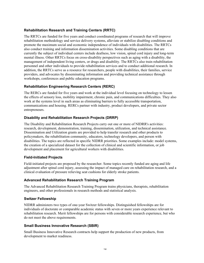#### **Rehabilitation Research and Training Centers (RRTC)**

The RRTCs are funded for five years and conduct coordinated programs of research that will improve rehabilitation methodology and service delivery systems, alleviate or stabilize disabling conditions and promote the maximum social and economic independence of individuals with disabilities. The RRTCs also conduct training and information dissemination activities. Some disabling conditions that are currently the subject of individual centers include deafness, low vision, spinal cord injury and long-term mental illness. Other RRTCs focus on cross-disability perspectives such as aging with a disability, the management of independent living centers, or drugs and disability. The RRTCs also train rehabilitation personnel and other individuals to provide rehabilitation services and to conduct additional research. In addition, the RRTCs serve as a resource for researchers, people with disabilities, their families, service providers, and advocates by disseminating information and providing technical assistance through workshops, conferences and public education programs.

#### **Rehabilitation Engineering Research Centers (RERC)**

The RERCs are funded for five years and work at the individual level focusing on technology to lessen the effects of sensory loss, mobility impairment, chronic pain, and communications difficulties. They also work at the systems level in such areas as eliminating barriers to fully accessible transportation, communications and housing. RERCs partner with industry, product developers, and private sector entrepreneurs.

#### **Disability and Rehabilitation Research Projects (DRRP)**

The Disability and Rehabilitation Research Projects carry out one or more of NIDRR's activities: research, development, demonstration, training, dissemination, utilization, and technical assistance. Dissemination and Utilization grants are provided to help transfer research and other products to policymakers, the rehabilitation community, educators, technology developers, and person with disabilities. The topics are reflected in specific NIDRR priorities. Some examples include: model systems, the creation of a specialized dataset for the collection of clinical and scientific information, or job development and placement for agricultural workers with disabilities.

#### **Field-Initiated Projects**

Field-initiated projects are proposed by the researcher. Some topics recently funded are aging and life adjustment after spinal cord injury, assessing the impact of managed care on rehabilitation research, and a clinical evaluation of pressure relieving seat cushions for elderly stroke patients.

#### **Advanced Rehabilitation Research Training Program**

The Advanced Rehabilitation Research Training Program trains physicians, therapists, rehabilitation engineers, and other professionals in research methods and statistical analysis.

#### **Switzer Fellowship**

NIDRR administers two types of one-year Switzer fellowships. Distinguished fellowships are for individuals of doctorate or comparable academic status with seven or more years experience relevant to rehabilitation research. Merit fellowships are for persons with considerable research experience, but who do not meet the above requirements.

#### **Small Business Innovative Research (SBIR)**

Small Business Innovative Research contracts help support the production of new products, from development to market readiness.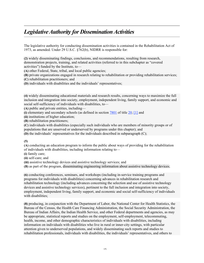## *LegislativeAuthority for DisseminationActivities*

The legislative authority for conducting dissemination activities is contained in the Rehabilitation Act of 1973, as amended. Under 29 U.S.C. §762(b), NIDRR is responsible for:

(2) widely disseminating findings, conclusions, and recommendations, resulting from research, demonstration projects, training, and related activities (referred to in this subchapter as "covered activities") funded by the Institute, to—

(A) other Federal, State, tribal, and local public agencies;

(B) private organizations engaged in research relating to rehabilitation or providing rehabilitation services;

(C) rehabilitation practitioners; and

(D) individuals with disabilities and the individuals' representatives;

(4) widely disseminating educational materials and research results, concerning ways to maximize the full inclusion and integration into society, employment, independent living, family support, and economic and social self-sufficiency of individuals with disabilities, to—

(A) public and private entities, including—

(i) elementary and secondary schools (as defined in section  $7801$  of title 20; [1] and

(ii) institutions of higher education;

(B) rehabilitation practitioners;

(C) individuals with disabilities (especially such individuals who are members of minority groups or of populations that are unserved or underserved by programs under this chapter); and

(D) the individuals' representatives for the individuals described in subparagraph (C);

(5)

(A) conducting an education program to inform the public about ways of providing for the rehabilitation of individuals with disabilities, including information relating to—

(i) family care;

(ii) self-care; and

(iii) assistive technology devices and assistive technology services; and

(B) as part of the program, disseminating engineering information about assistive technology devices;

(6) conducting conferences, seminars, and workshops (including in-service training programs and programs for individuals with disabilities) concerning advances in rehabilitation research and rehabilitation technology (including advances concerning the selection and use of assistive technology devices and assistive technology services), pertinent to the full inclusion and integration into society, employment, independent living, family support, and economic and social self-sufficiency of individuals with disabilities;

(8) producing, in conjunction with the Department of Labor, the National Center for Health Statistics, the Bureau of the Census, the Health Care Financing Administration, the Social Security Administration, the Bureau of Indian Affairs, the Indian Health Service, and other Federal departments and agencies, as may be appropriate, statistical reports and studies on the employment, self-employment, telecommuting, health, income, and other demographic characteristics of individuals with disabilities, including information on individuals with disabilities who live in rural or inner-city settings, with particular attention given to underserved populations, and widely disseminating such reports and studies to rehabilitation professionals, individuals with disabilities, the individuals' representatives, and others to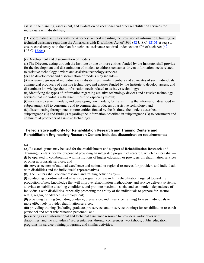assist in the planning, assessment, and evaluation of vocational and other rehabilitation services for individuals with disabilities;

(11) coordinating activities with the Attorney General regarding the provision of information, training, or technical assistance regarding the Americans with Disabilities Act of 1990 (42 U.S.C. 12101 et seq.) to ensure consistency with the plan for technical assistance required under section 506 of such Act (42 U.S.C. 12206).

(c) Development and dissemination of models

(1) The Director, acting through the Institute or one or more entities funded by the Institute, shall provide for the development and dissemination of models to address consumer-driven information needs related to assistive technology devices and assistive technology services.

(2) The development and dissemination of models may include—

(A) convening groups of individuals with disabilities, family members and advocates of such individuals, commercial producers of assistive technology, and entities funded by the Institute to develop, assess, and disseminate knowledge about information needs related to assistive technology;

(B) identifying the types of information regarding assistive technology devices and assistive technology services that individuals with disabilities find especially useful;

(C) evaluating current models, and developing new models, for transmitting the information described in subparagraph (B) to consumers and to commercial producers of assistive technology; and

(D) disseminating through one or more entities funded by the Institute, the models described in subparagraph (C) and findings regarding the information described in subparagraph (B) to consumers and commercial producers of assistive technology.

#### **The legislative authority for Rehabilitation Research and Training Centers and Rehabilitation Engineering Research Centers includes dissemination requirements:**

(2)

(A) Research grants may be used for the establishment and support of Rehabilitation Research and Training Centers, for the purpose of providing an integrated program of research, which Centers shall— (i) be operated in collaboration with institutions of higher education or providers of rehabilitation services or other appropriate services; and

(ii) serve as centers of national excellence and national or regional resources for providers and individuals with disabilities and the individuals' representatives.

(B) The Centers shall conduct research and training activities by—

(i) conducting coordinated and advanced programs of research in rehabilitation targeted toward the production of new knowledge that will improve rehabilitation methodology and service delivery systems, alleviate or stabilize disabling conditions, and promote maximum social and economic independence of individuals with disabilities, especially promoting the ability of the individuals to prepare for, secure, retain, regain, or advance in employment;

(ii) providing training (including graduate, pre-service, and in-service training) to assist individuals to more effectively provide rehabilitation services;

(iii) providing training (including graduate, pre-service, and in-service training) for rehabilitation research personnel and other rehabilitation personnel; and

(iv) serving as an informational and technical assistance resource to providers, individuals with disabilities, and the individuals' representatives, through conferences, workshops, public education programs, in-service training programs, and similar activities.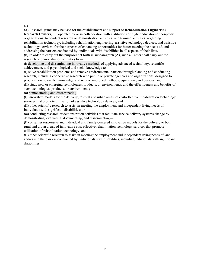#### (3)

(A) Research grants may be used for the establishment and support of Rehabilitation Engineering Research Centers, . . . operated by or in collaboration with institutions of higher education or nonprofit organizations, to conduct research or demonstration activities, and training activities, regarding rehabilitation technology, including rehabilitation engineering, assistive technology devices, and assistive technology services, for the purposes of enhancing opportunities for better meeting the needs of, and addressing the barriers confronted by, individuals with disabilities in all aspects of their lives. (B) In order to carry out the purposes set forth in subparagraph (A), such a Center shall carry out the research or demonstration activities by—

(i) developing and disseminating innovative methods of applying advanced technology, scientific achievement, and psychological and social knowledge to—

(I) solve rehabilitation problems and remove environmental barriers through planning and conducting research, including cooperative research with public or private agencies and organizations, designed to produce new scientific knowledge, and new or improved methods, equipment, and devices; and

(II) study new or emerging technologies, products, or environments, and the effectiveness and benefits of such technologies, products, or environments;

(ii) demonstrating and disseminating—

(I) innovative models for the delivery, to rural and urban areas, of cost-effective rehabilitation technology services that promote utilization of assistive technology devices; and

(II) other scientific research to assist in meeting the employment and independent living needs of individuals with significant disabilities; or

(iii) conducting research or demonstration activities that facilitate service delivery systems change by demonstrating, evaluating, documenting, and disseminating—

(I) consumer responsive and individual and family-centered innovative models for the delivery to both rural and urban areas, of innovative cost-effective rehabilitation technology services that promote utilization of rehabilitation technology; and

(II) other scientific research to assist in meeting the employment and independent living needs of, and addressing the barriers confronted by, individuals with disabilities, including individuals with significant disabilities.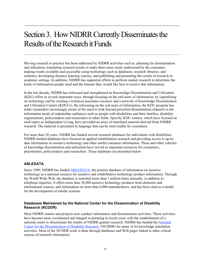## Section 3. How NIDRR Currently Disseminates the Results of the Research it Funds

Moving research to practice has been addressed by NIDRR activities such as: planning for dissemination and utilization; translating research results to make them more easily understood by the consumer; making results available and accessible using technology such as databases, research libraries, and websites; developing distance learning courses; and publishing and presenting the results of research in academic settings. In addition, NIDRR has supported efforts to perform market research to determine the kinds of information people need and the formats they would like best to receive that information.

In the last decade, NIDRR has refocused and strengthened its Knowledge Dissemination and Utilization (KDU) effort in several important ways: through focusing on the end users of information, by capitalizing on technology and by creating a technical assistance resource and a network of Knowledge Dissemination and Utilization Centers (KDUCs). By refocusing on the end users of information, the KDU program has made researchers increasingly aware of the need to look beyond parochial dissemination channels to the information needs of stakeholder audiences such as people with disabilities and their families, disability organizations, policymakers and researchers in other fields. Specific KDU centers, which have focused on such topics as Independent Living, have provided an array of translated material derived from NIDRR research. The material is presented in language that can be used readily by consumers.

For more than 20 years, NIDRR has funded several research databases for individuals with disabilities. NIDRR-funded databases have focused on applied rehabilitation research and providing access to up-todate information on assistive technology and other useful consumer information. These and other vehicles of knowledge dissemination and utilization have served as important resources for consumers, practitioners, policymakers and researchers. These databases are presented below.

#### **ABLEDATA**

Since 1980, NIDRR has funded ABLEDATA, the premier database of information on assistive technology as a national resource for assistive and rehabilitative technology product information. Through the World Wide Web, the database is searched more than 1 million times annually, in addition to telephone inquiries. It offers more than 30,000 assistive technology products from domestic and international sources, and information on more than 6,000 manufacturers, and has been cited as a model for the development of similar systems.

#### **Databases Maintained by the National Center for the Dissemination of Disability Research (NCDDR)**

Most NIDRR centers and projects now conduct information and dissemination activities. These activities have become more coordinated and integral to planning in recent years with the establishment of a national center to disseminate the results of NIDRR grantee research. NIDRR has funded the National Center for the Dissemination of Disability Research (NCDDR) for many of its knowledge translation activities. Most of the NCDDR work is done through databases and Web pages linked to other critical sources of research information.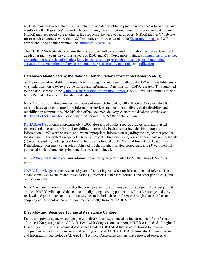NCDDR maintains a searchable online database, updated weekly, to provide ready access to findings and results of NIDRR grantees' research. By centralizing the information, numerous reports and data on many NIDRR grantees readily are available, thus reducing the need to search every NIDRR grantee's Web site for research outcomes. More than 1,200 resources now are entered in the Electronic Library and 250 entries are in the Spanish version, the Biblioteca Electronica.

The NCDDR Web site also contains the many papers and background information resources developed in depth over many years on various aspects of KDU and KT. Topic areas include: communities of practice; dissemination research and practice; knowledge translation; research to practice; social marketing; surveys of dissemination preferences and practices; user friendly materials; and utilization.

#### **Databases Maintained by the National Rehabilitation Information Center (NARIC)**

As the number of rehabilitation research reports began to increase rapidly by the 1970s, a feasibility study was undertaken on ways to provide library and information functions for NIDRR research. This study led to the establishment of the National Rehabilitation Information Center (NARIC), which continues to be a NIDRR-funded knowledge translation database.

NARIC collects and disseminates the outputs of research funded by NIDRR. Over 25 years, NARIC's mission has expanded to providing information services and document delivery to the disability and rehabilitation communities. NARIC also offers document delivery, customized database searches, and REHABDATA Connection, a monthly alert service. The NARIC databases are:

REHABDATA contains approximately 70,000 abstracts of books, reports, articles, and audiovisual materials relating to disability and rehabilitation research. Each abstract includes bibliographic information, a 250-word abstract, and, when appropriate, information regarding the project that produced the document. The collection spans 1956 to the present. Three main categories of documents are included: (1) reports, studies, and papers submitted by projects funded by the National Institute on Disability and Rehabilitation Research (2) articles published in rehabilitation-related periodicals; and (3) commercially published books. Some non-print materials are also included.

NIDRR Project Database contains information on every project funded by NIDRR from 1993 to the present.

NARIC Knowledgebase represents 25 years of collecting resources for information and referral. The database includes agencies and organizations, directories, databases, journals and other periodicals, and online resources.

NARIC is moving toward a digital collection by currently archiving electronic copies of current journal articles. NARIC will expand this collection, digitizing existing publications for safer storage and easy retrieval and plans to expand its online services to include virtual reference through chat interface and shopping cart technology to order documents directly from REHABDATA.

#### **Disability and Business Technical Assistance Centers**

Public and private agencies, and people with disabilities, experienced an increased need for information after the 1990 passage of the ADA. In 1991, with Congressional support, NIDRR established 10 regional Disability and Business Technical Assistance Centers (DBTACs) that have continued to provide comprehensive technical assistance and training on the ADA. The DBTACs, now also known as ADA and Information Technology (ADA & IT) Technical Assistance Centers, have provided services to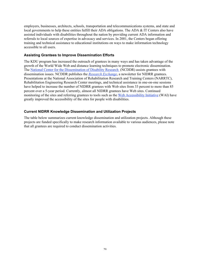employers, businesses, architects, schools, transportation and telecommunications systems, and state and local governments to help these entities fulfill their ADA obligations. The ADA & IT Centers also have assisted individuals with disabilities throughout the nation by providing current ADA information and referrals to local sources of expertise in advocacy and services. In 2001, the Centers began offering training and technical assistance to educational institutions on ways to make information technology accessible to all users.

#### **Assisting Grantees to Improve Dissemination Efforts**

The KDU program has increased the outreach of grantees in many ways and has taken advantage of the growth of the World Wide Web and distance learning techniques to promote electronic dissemination. The National Center for the Dissemination of Disability Research (NCDDR) assists grantees with dissemination issues. NCDDR publishes the *Research Exchange*, a newsletter for NIDRR grantees. Presentations at the National Association of Rehabilitation Research and Training Centers (NARRTC), Rehabilitation Engineering Research Center meetings, and technical assistance in one-on-one sessions have helped to increase the number of NIDRR grantees with Web sites from 33 percent to more than 85 percent over a 5-year period. Currently, almost all NIDRR grantees have Web sites. Continued monitoring of the sites and referring grantees to tools such as the Web Accessibility Initiative (WAI) have greatly improved the accessibility of the sites for people with disabilities.

#### **Current NIDRR Knowledge Dissemination and Utilization Projects**

The table below summarizes current knowledge dissemination and utilization projects. Although these projects are funded specifically to make research information available to various audiences, please note that all grantees are required to conduct dissemination activities.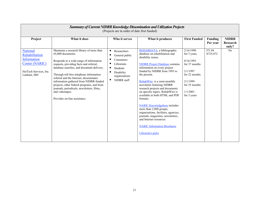| <b>Summary of Current NIDRR Knowledge Dissemination and Utilization Projects</b><br>(Projects are in order of date first funded) |                                                                                                                                                                                                                                                                                                                                                                                                                                                                                  |                                                                                                                                                  |                                                                                                                                                                                                                                                                                                                                                                                                                                                                                                                                                                                                                                     |                                                                                                                                             |                            |                                   |  |  |  |
|----------------------------------------------------------------------------------------------------------------------------------|----------------------------------------------------------------------------------------------------------------------------------------------------------------------------------------------------------------------------------------------------------------------------------------------------------------------------------------------------------------------------------------------------------------------------------------------------------------------------------|--------------------------------------------------------------------------------------------------------------------------------------------------|-------------------------------------------------------------------------------------------------------------------------------------------------------------------------------------------------------------------------------------------------------------------------------------------------------------------------------------------------------------------------------------------------------------------------------------------------------------------------------------------------------------------------------------------------------------------------------------------------------------------------------------|---------------------------------------------------------------------------------------------------------------------------------------------|----------------------------|-----------------------------------|--|--|--|
| Project                                                                                                                          | What it does                                                                                                                                                                                                                                                                                                                                                                                                                                                                     | Who it serves                                                                                                                                    | What it produces                                                                                                                                                                                                                                                                                                                                                                                                                                                                                                                                                                                                                    | <b>First Funded</b>                                                                                                                         | <b>Funding</b><br>Per year | <b>NIDRR</b><br>Research<br>only? |  |  |  |
| <b>National</b><br>Rehabilitation<br>Information<br><b>Center (NARIC)</b><br>HeiTech Services, Inc.<br>Lanham, MD                | Maintains a research library of more than<br>65,000 documents.<br>Responds to a wide range of information<br>requests, providing facts and referral,<br>database searches, and document delivery.<br>Through toll-free telephone information<br>referral and the Internet, disseminates<br>information gathered from NIDRR-funded<br>projects, other federal programs, and from<br>journals, periodicals, newsletters, films,<br>and videotapes.<br>Provides on-line assistance. | п<br>Researchers<br>General public<br>п<br>п<br>Consumers<br>п<br>Librarians<br>п<br>Students<br>п<br>Disability<br>organizations<br>NIDRR staff | REHABDATA, a bibliographic<br>database on rehabilitation and<br>disability issues.<br><b>NIDRR</b> Project Database contains<br>information on every project<br>funded by NIDRR from 1993 to<br>the present.<br>RehabWire is a semi-monthly<br>newsletter featuring NIDRR<br>research projects and documents<br>on specific topics. RehabWire is<br>available in both HTML and PDF<br>formats.<br><b>NARIC Knowledgebase includes</b><br>more than 2,800 groups,<br>organizations, facilities, agencies,<br>journals, magazines, newsletters,<br>and Internet resources.<br><b>NARIC Information Brochures</b><br>Librarian's picks | 2/16/1990<br>for 3 years<br>8/16/1993<br>for 37 months<br>2/1/1997<br>for 22 months<br>2/1/1999<br>for 35 months<br>1/1/2001<br>for 3 years | FY 04<br>\$725,472         | No                                |  |  |  |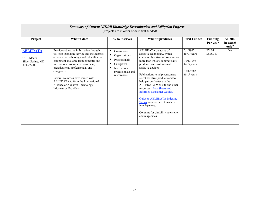| <b>Summary of Current NIDRR Knowledge Dissemination and Utilization Projects</b><br>(Projects are in order of date first funded) |                                                                                                                                                                                                                                                                                                                                                                                                                    |                                                                                                                          |                                                                                                                                                                                                                                                                                                                                                                                                                                                                                                                                          |                                                                                 |                            |                                   |  |  |  |
|----------------------------------------------------------------------------------------------------------------------------------|--------------------------------------------------------------------------------------------------------------------------------------------------------------------------------------------------------------------------------------------------------------------------------------------------------------------------------------------------------------------------------------------------------------------|--------------------------------------------------------------------------------------------------------------------------|------------------------------------------------------------------------------------------------------------------------------------------------------------------------------------------------------------------------------------------------------------------------------------------------------------------------------------------------------------------------------------------------------------------------------------------------------------------------------------------------------------------------------------------|---------------------------------------------------------------------------------|----------------------------|-----------------------------------|--|--|--|
| Project                                                                                                                          | What it does                                                                                                                                                                                                                                                                                                                                                                                                       | Who it serves                                                                                                            | What it produces                                                                                                                                                                                                                                                                                                                                                                                                                                                                                                                         | <b>First Funded</b>                                                             | <b>Funding</b><br>Per year | <b>NIDRR</b><br>Research<br>only? |  |  |  |
| <b>ABLEDATA</b><br><b>ORC</b> Macro<br>Silver Spring, MD<br>800-227-0216                                                         | Provides objective information through<br>toll-free telephone service and the Internet<br>on assistive technology and rehabilitation<br>equipment available from domestic and<br>international sources to consumers,<br>organizations, professionals, and<br>caregivers.<br>Several countries have joined with<br>ABLEDATA to form the International<br>Alliance of Assistive Technology<br>Information Providers. | Consumers<br>Organizations<br>Professionals<br>п<br>Caregivers<br>п<br>International<br>professionals and<br>researchers | ABLEDATA database of<br>assistive technology, which<br>contains objective information on<br>more than 30,000 commercially<br>produced and custom-made<br>assistive devices.<br>Publications to help consumers<br>select assistive products and to<br>help patrons better use the<br>ABLEDATA Web site and other<br>resources: <b>Fact Sheets and</b><br><b>Informed Consumer Guides.</b><br><b>Guide to ABLEDATA Indexing</b><br>Terms has also been translated<br>into Japanese.<br>Columns for disability newsletter<br>and magazines. | 2/1/1992<br>for 3 years<br>10/1/1996<br>for 5 years<br>10/1/2002<br>for 5 years | FY 04<br>\$635,313         | No                                |  |  |  |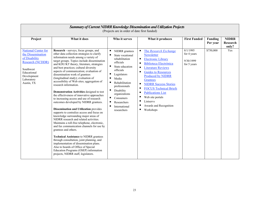| Summary of Current NIDRR Knowledge Dissemination and Utilization Projects<br>(Projects are in order of date first funded)                                          |                                                                                                                                                                                                                                                                                                                                                                                                                                                                                                                                                                                                                                                                                                                                                                                                                                                                                                                                                                                                                                                                                                                                                                                                             |                                                                                                                                                                                                                                                                                                                   |                                                                                                                                                                                                                                                                                                                                                                                                                                          |                                                     |                            |                                   |  |
|--------------------------------------------------------------------------------------------------------------------------------------------------------------------|-------------------------------------------------------------------------------------------------------------------------------------------------------------------------------------------------------------------------------------------------------------------------------------------------------------------------------------------------------------------------------------------------------------------------------------------------------------------------------------------------------------------------------------------------------------------------------------------------------------------------------------------------------------------------------------------------------------------------------------------------------------------------------------------------------------------------------------------------------------------------------------------------------------------------------------------------------------------------------------------------------------------------------------------------------------------------------------------------------------------------------------------------------------------------------------------------------------|-------------------------------------------------------------------------------------------------------------------------------------------------------------------------------------------------------------------------------------------------------------------------------------------------------------------|------------------------------------------------------------------------------------------------------------------------------------------------------------------------------------------------------------------------------------------------------------------------------------------------------------------------------------------------------------------------------------------------------------------------------------------|-----------------------------------------------------|----------------------------|-----------------------------------|--|
| Project                                                                                                                                                            | What it does                                                                                                                                                                                                                                                                                                                                                                                                                                                                                                                                                                                                                                                                                                                                                                                                                                                                                                                                                                                                                                                                                                                                                                                                | Who it serves                                                                                                                                                                                                                                                                                                     | What it produces                                                                                                                                                                                                                                                                                                                                                                                                                         | <b>First Funded</b>                                 | <b>Funding</b><br>Per year | <b>NIDRR</b><br>Research<br>only? |  |
| <b>National Center for</b><br>the Dissemination<br>of Disability<br><b>Research (NCDDR)</b><br>Southwest<br>Educational<br>Development<br>Laboratory<br>Austin, TX | Research - surveys, focus groups, and<br>other data collection strategies to clarify<br>information needs among a variety of<br>target groups. Topics include dissemination<br>and KDU/KT theory, literature, strategies<br>and best practices; cultural diversity<br>aspects of communication; evaluation of<br>dissemination work of grantees<br>(longitudinal study); evaluation of<br>accessibility of Web sites; aggregation of<br>research information.<br>Demonstration Activities designed to test<br>the effectiveness of innovative approaches<br>to increasing access and use of research<br>outcomes developed by NIDRR grantees.<br>Dissemination and Utilization provides<br>supports to centralize access and focus on<br>knowledge surrounding major areas of<br>NIDRR research and related activities.<br>Maintains a toll-free telephone, electronic,<br>and fax communication channels for use by<br>grantees and others.<br><b>Technical Assistance to NIDRR grantees</b><br>through consultation, joint planning, and<br>implementation of dissemination plans.<br>Also to boards of Office of Special<br>Education Programs (OSEP) information<br>projects, NIDRR staff, legislators. | NIDRR grantees<br>п<br>State vocational<br>rehabilitation<br>officials<br>$\blacksquare$<br>State education<br>officials<br>Legislators<br>п<br>Е<br>Media<br>п<br>Rehabilitation<br>professionals<br>п<br>Disability<br>organizations<br>п<br>Consumers<br>п<br>Researchers<br>п<br>International<br>researchers | The Research Exchange<br>Newsletter<br><b>Electronic Library</b><br>$\blacksquare$<br><b>Biblioteca Electrónica</b><br>٠<br><b>Literature Reviews</b><br>п<br><b>Guides to Resources</b><br>٠<br><b>Produced by NIDRR</b><br>Grantees<br><b>NIDRR Success Stories</b><br>٠<br><b>FOCUS Technical Briefs</b><br>п<br><b>Publications List</b><br>п<br>Web site portals<br>п<br>Listservs<br>п<br>Awards and Recognition<br>Е<br>Workshops | 8/1/1995<br>for 4 years<br>9/30/1999<br>for 5 years | \$750,000                  | Yes                               |  |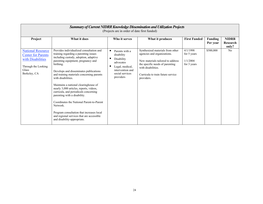| <b>Summary of Current NIDRR Knowledge Dissemination and Utilization Projects</b><br>(Projects are in order of date first funded) |                                                                                                                                                                                                                                                                                                                                                                                                                                                                                                                                                                                                                                           |                                                                                                                                          |                                                                                                                                                                                                                  |                                                    |                     |                                   |  |  |
|----------------------------------------------------------------------------------------------------------------------------------|-------------------------------------------------------------------------------------------------------------------------------------------------------------------------------------------------------------------------------------------------------------------------------------------------------------------------------------------------------------------------------------------------------------------------------------------------------------------------------------------------------------------------------------------------------------------------------------------------------------------------------------------|------------------------------------------------------------------------------------------------------------------------------------------|------------------------------------------------------------------------------------------------------------------------------------------------------------------------------------------------------------------|----------------------------------------------------|---------------------|-----------------------------------|--|--|
| Project                                                                                                                          | What it does                                                                                                                                                                                                                                                                                                                                                                                                                                                                                                                                                                                                                              | Who it serves                                                                                                                            | What it produces                                                                                                                                                                                                 | <b>First Funded</b>                                | Funding<br>Per year | <b>NIDRR</b><br>Research<br>only? |  |  |
| <b>National Resource</b><br><b>Center for Parents</b><br>with Disabilities<br>Through the Looking<br>Glass<br>Berkeley, CA       | Provides individualized consultation and<br>training regarding a parenting issues<br>including custody, adoption, adaptive<br>parenting equipment, pregnancy and<br>birthing.<br>Develops and disseminates publications<br>and training materials concerning parents<br>with disabilities.<br>Maintains a national clearinghouse of<br>nearly 3,000 articles, reports, videos,<br>curricula, and periodicals concerning<br>parenting with a disability.<br>Coordinates the National Parent-to-Parent<br>Network.<br>Program consultation that increases local<br>and regional services that are accessible<br>and disability-appropriate. | Parents with a<br>п<br>disability<br>п<br>Disability<br>advocates<br>Legal, medical,<br>intervention and<br>social services<br>providers | Synthesized materials from other<br>agencies and organizations.<br>New materials tailored to address<br>the specific needs of parenting<br>with disabilities.<br>Curricula to train future service<br>providers. | 4/1/1998<br>for 5 years<br>1/1/2004<br>for 3 years | \$500,000           | No                                |  |  |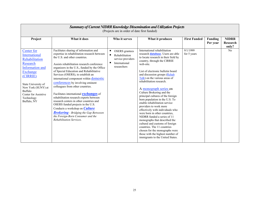|                                                                                                                                                                                                                   | Summary of Current NIDRR Knowledge Dissemination and Utilization Projects<br>(Projects are in order of date first funded)                                                                                                                                                                                                                                                                                                                                                                                                                                                                                                                                                                                                                                                   |                                                                                                   |                                                                                                                                                                                                                                                                                                                                                                                                                                                                                                                                                                                                                                                                                                                                                                                                          |                         |                            |                                          |  |  |
|-------------------------------------------------------------------------------------------------------------------------------------------------------------------------------------------------------------------|-----------------------------------------------------------------------------------------------------------------------------------------------------------------------------------------------------------------------------------------------------------------------------------------------------------------------------------------------------------------------------------------------------------------------------------------------------------------------------------------------------------------------------------------------------------------------------------------------------------------------------------------------------------------------------------------------------------------------------------------------------------------------------|---------------------------------------------------------------------------------------------------|----------------------------------------------------------------------------------------------------------------------------------------------------------------------------------------------------------------------------------------------------------------------------------------------------------------------------------------------------------------------------------------------------------------------------------------------------------------------------------------------------------------------------------------------------------------------------------------------------------------------------------------------------------------------------------------------------------------------------------------------------------------------------------------------------------|-------------------------|----------------------------|------------------------------------------|--|--|
| Project                                                                                                                                                                                                           | What it does                                                                                                                                                                                                                                                                                                                                                                                                                                                                                                                                                                                                                                                                                                                                                                | Who it serves                                                                                     | What it produces                                                                                                                                                                                                                                                                                                                                                                                                                                                                                                                                                                                                                                                                                                                                                                                         | <b>First Funded</b>     | <b>Funding</b><br>Per year | <b>NIDRR</b><br><b>Research</b><br>only? |  |  |
| Center for<br>International<br>Rehabilitation<br>Research<br>Information and<br>Exchange<br>(CIRRIE)<br>State University of<br>New York (SUNY) at<br>Buffalo<br>Center for Assistive<br>Technology<br>Buffalo, NY | Facilitates sharing of information and<br>expertise in rehabilitation research between<br>the U.S. and other countries.<br>Assists rehabilitation research conference<br>organizers in the U.S., funded by the Office<br>of Special Education and Rehabilitative<br>Services (OSERS), to establish an<br>international component within <b>domestic</b><br>conferences by involving eminent<br>colleagues from other countries.<br>Facilitates international <b>exchanges</b> of<br>rehabilitation research experts between<br>research centers in other countries and<br>OSERS funded projects in the U.S.<br>Conducts a workshop on <b>Culture</b><br><b>Brokering</b> - Bridging the Gap Betweeen<br>the Foreign-Born Consumer and the<br><b>Rehabilitation Services</b> | <b>OSERS</b> grantees<br>п<br>Rehabilitation<br>service providers<br>International<br>researchers | International rehabilitation<br>research <b>database</b> . Users are able<br>to locate research in their field by<br>country, through the CIRRIE<br>web-site.<br>List of electronic bulletin board<br>and discussion groups (Rehab<br>Talk) on the various areas of<br>rehabilitation research.<br>A monograph series on<br>Culture Brokering and the<br>principal cultures of the foreign<br>born population in the U.S. To<br>enable rehabilitation service<br>providers to work more<br>effectively with individuals who<br>were born in other countries,<br>NIDRR funded a series of 11<br>monographs that described the<br>cultural and customs of foreign<br>countries. The 11 countries<br>chosen for the monographs were<br>those with the highest number of<br>immigrants to the United States. | 9/1/1999<br>for 5 years |                            | N <sub>0</sub>                           |  |  |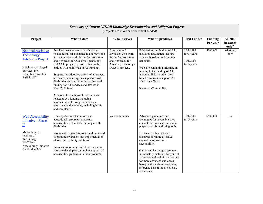| Summary of Current NIDRR Knowledge Dissemination and Utilization Projects<br>(Projects are in order of date first funded)                                                                 |                                                                                                                                                                                                                                                                                                                                                                                                                                                                                                                                                                                                                                                              |                                                                                                                                     |                                                                                                                                                                                                                                                                                                                                                                                                                                                                                  |                                                      |                     |                                          |  |
|-------------------------------------------------------------------------------------------------------------------------------------------------------------------------------------------|--------------------------------------------------------------------------------------------------------------------------------------------------------------------------------------------------------------------------------------------------------------------------------------------------------------------------------------------------------------------------------------------------------------------------------------------------------------------------------------------------------------------------------------------------------------------------------------------------------------------------------------------------------------|-------------------------------------------------------------------------------------------------------------------------------------|----------------------------------------------------------------------------------------------------------------------------------------------------------------------------------------------------------------------------------------------------------------------------------------------------------------------------------------------------------------------------------------------------------------------------------------------------------------------------------|------------------------------------------------------|---------------------|------------------------------------------|--|
| Project                                                                                                                                                                                   | What it does                                                                                                                                                                                                                                                                                                                                                                                                                                                                                                                                                                                                                                                 | Who it serves                                                                                                                       | What it produces                                                                                                                                                                                                                                                                                                                                                                                                                                                                 | <b>First Funded</b>                                  | Funding<br>Per year | <b>NIDRR</b><br><b>Research</b><br>only? |  |
| <b>National Assistive</b><br>Technology<br><b>Advocacy Project</b><br>Neighborhood Legal<br>Services, Inc.<br>Disability Law Unit<br>Buffalo, NY                                          | Provides management- and advocacy-<br>related technical assistance to attorneys and<br>advocates who work for the 56 Protection<br>and Advocacy for Assistive Technology<br>(P&AAT) projects, as well other public<br>entities with an interest in AT funding.<br>Supports the advocacy efforts of attorneys,<br>advocates, service agencies, persons with<br>disabilities and their families as they seek<br>funding for AT services and devices in<br>New York State.<br>Acts as a clearinghouse for documents<br>related to AT funding including<br>administrative hearing decisions, and<br>court-related documents, including briefs<br>and complaints. | Attorneys and<br>advocates who work<br>for the 56 Protection<br>and Advocacy for<br><b>Assistive Technology</b><br>(PAAT) projects. | Publications on funding of AT,<br>including newsletters, feature<br>articles, booklets, and training<br>handouts.<br>Web site containing information<br>relating to the funding of AT,<br>including links to other Web-<br>based resources to support AT<br>advocacy efforts.<br>National AT email list.                                                                                                                                                                         | 10/1/1999<br>for 3 years<br>10/1/2002<br>for 3 years | \$160,000           | Advocacy<br>only                         |  |
| <b>Web Accessibility</b><br><b>Initiative - Phase</b><br>$\underline{\mathrm{II}}$<br>Massachusetts<br>Institute of<br>Technology<br>W3C Web<br>Accessibility Initiative<br>Cambridge, MA | Develops technical solutions and<br>educational resources to increase<br>accessibility of the Web for people with<br>disabilities.<br>Works with organizations around the world<br>to promote awareness and implementation<br>of Web accessibility solutions.<br>Provides in-house technical assistance to<br>software developers on implementation of<br>accessibility guidelines in their products.                                                                                                                                                                                                                                                        | Web community                                                                                                                       | Advanced guidelines and<br>techniques for accessible Web<br>content, for browsers and media<br>players, and for authoring tools.<br>Expanded techniques and<br>resources for more effective<br>evaluation of Web site<br>accessibility.<br>Online and hard-copy resources,<br>introductory materials for general<br>audiences and technical materials<br>for more advanced audiences,<br>best-practice training resources,<br>reference lists of tools, policies,<br>and events. | 10/1/2000<br>for 5 years                             | \$500,000           | N <sub>0</sub>                           |  |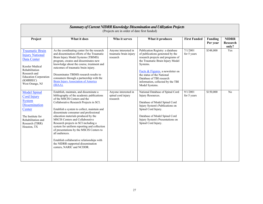| Summary of Current NIDRR Knowledge Dissemination and Utilization Projects<br>(Projects are in order of date first funded)                                                                  |                                                                                                                                                                                                                                                                                                                                                                                                                                                                                                                                                                                                       |                                                            |                                                                                                                                                                                                                                                                                                                |                         |                            |                                   |  |  |
|--------------------------------------------------------------------------------------------------------------------------------------------------------------------------------------------|-------------------------------------------------------------------------------------------------------------------------------------------------------------------------------------------------------------------------------------------------------------------------------------------------------------------------------------------------------------------------------------------------------------------------------------------------------------------------------------------------------------------------------------------------------------------------------------------------------|------------------------------------------------------------|----------------------------------------------------------------------------------------------------------------------------------------------------------------------------------------------------------------------------------------------------------------------------------------------------------------|-------------------------|----------------------------|-----------------------------------|--|--|
| Project                                                                                                                                                                                    | What it does                                                                                                                                                                                                                                                                                                                                                                                                                                                                                                                                                                                          | Who it serves                                              | What it produces                                                                                                                                                                                                                                                                                               | <b>First Funded</b>     | <b>Funding</b><br>Per year | <b>NIDRR</b><br>Research<br>only? |  |  |
| <b>Traumatic Brain</b><br><b>Injury National</b><br>Data Center<br><b>Kessler Medical</b><br>Rehabilitation<br>Research and<br><b>Education Corporation</b><br>(KMRREC)<br>West Orange, NJ | As the coordinating center for the research<br>and dissemination efforts of the Traumatic<br>Brain Injury Model Systems (TBIMS)<br>program, creates and disseminates new<br>knowledge about the course, treatment and<br>outcomes of traumatic brain injury.<br>Disseminates TBIMS research results to<br>consumers through a partnership with the<br><b>Brain Injury Association of America</b><br>(BIAA).                                                                                                                                                                                           | Anyone interested in<br>traumatic brain injury<br>research | Publication Registry: a database<br>of publications generated by the<br>research projects and programs of<br>the Traumatic Brain Injury Model<br>Systems.<br>Facts & Figures, a newsletter on<br>the status of the National<br>Database of TBI research<br>information, collected by the TBI<br>Model Systems. | 7/1/2001<br>for 5 years | \$348,000                  | Yes                               |  |  |
| <b>Model Spinal</b><br><b>Cord Injury</b><br><b>System</b><br><b>Dissemination</b><br>Center<br>The Institute for<br>Rehabilitation and<br>Research (TIRR)<br>Houston, TX                  | Establish, maintain, and disseminate a<br>bibliography of the academic publications<br>of the MSCIS Centers and the<br>Collaborative Research Projects in SCI.<br>Establish a system to collect, maintain and<br>disseminate consumer and professional<br>education materials produced by the<br>MSCIS Centers and Collaborative<br>Research projects in SCI including a<br>system for uniform reporting and collection<br>of presentations by the MSCIS Centers to<br>all audiences.<br>Establish collaborative relationships with<br>the NIDRR-supported dissemination<br>centers, NARIC and NCDDR. | Anyone interested in<br>spinal cord injury<br>research     | National Database of Spinal Cord<br>Injury Resources.<br>Database of Model Spinal Cord<br>Injury System's Publications on<br>Spinal Cord Injury.<br>Database of Model Spinal Cord<br>Injury System's Presentations on<br>Spinal Cord Injury.                                                                   | 9/1/2001<br>for 5 years | \$150,000                  | N <sub>0</sub>                    |  |  |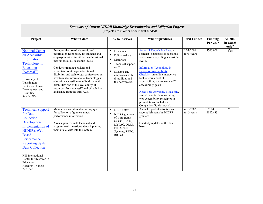|                                                                                                                                                                                                                                                                                                 | Summary of Current NIDRR Knowledge Dissemination and Utilization Projects<br>(Projects are in order of date first funded)                                                                                                                                                                                                                                                                                                                                                                              |                                                                                                                                                                                        |                                                                                                                                                                                                                                                                                                                                                                                                                                                                                     |                          |                     |                                   |  |  |
|-------------------------------------------------------------------------------------------------------------------------------------------------------------------------------------------------------------------------------------------------------------------------------------------------|--------------------------------------------------------------------------------------------------------------------------------------------------------------------------------------------------------------------------------------------------------------------------------------------------------------------------------------------------------------------------------------------------------------------------------------------------------------------------------------------------------|----------------------------------------------------------------------------------------------------------------------------------------------------------------------------------------|-------------------------------------------------------------------------------------------------------------------------------------------------------------------------------------------------------------------------------------------------------------------------------------------------------------------------------------------------------------------------------------------------------------------------------------------------------------------------------------|--------------------------|---------------------|-----------------------------------|--|--|
| Project                                                                                                                                                                                                                                                                                         | What it does                                                                                                                                                                                                                                                                                                                                                                                                                                                                                           | Who it serves                                                                                                                                                                          | What it produces                                                                                                                                                                                                                                                                                                                                                                                                                                                                    | <b>First Funded</b>      | Funding<br>Per year | <b>NIDRR</b><br>Research<br>only? |  |  |
| <b>National Center</b><br>on Accessible<br>Information<br>Technology in<br><b>Education</b><br>(AccessIT)<br>University of<br>Washington<br>Center on Human<br>Development and<br>Disability<br>Seattle, WA                                                                                     | Promotes the use of electronic and<br>information technology for students and<br>employees with disabilities in educational<br>institutions at all academic levels.<br>Conducts training sessions and<br>presentations at major educational,<br>disability, and technology conferences on<br>how to make informational technology in<br>education accessible to individuals with<br>disabilities and of the availability of<br>resources from AccessIT and of technical<br>assistance from the DBTACs. | ٠<br>Educators<br>Е<br>Policy makers<br>$\blacksquare$<br>Librarians<br>п<br>Technical support<br>staff<br>л<br>Students and<br>employees with<br>disabilities and<br>their advocates. | AccessIT Knowledge Base, a<br>searchable database of questions<br>and answers regarding accessible<br>E&IT.<br><b>Information Technology in</b><br><b>Education Accessibility</b><br>Checklist, an online interactive<br>tool to learn about IT<br>accessibility, and to manage IT<br>accessibility goals.<br><b>Accessible University Mock Site,</b><br>a mock site for demonstrating<br>web accessibility principles in<br>presentations. Includes a<br>Companion Guide tutorial. | 10/1/2001<br>for 5 years | \$700,000           | Yes                               |  |  |
| <b>Technical Support</b><br>for Data<br>Collection<br>Development:<br>Implementation of<br><b>NIDRR's Web-</b><br><b>Based</b><br>Performance<br><b>Reporting System</b><br><b>Data Collection</b><br>RTI International<br>Center for Research in<br>Education<br>Research Triangle<br>Park, NC | Maintains a web-based reporting system<br>for collection of grantee annual<br>performance information.<br>Assists grantees with technical and<br>programmatic questions about inputting<br>their annual data into the system.                                                                                                                                                                                                                                                                          | $\blacksquare$<br>NIDRR staff<br>п<br>NIDRR grantees<br>of 8 programs<br>(ARRT, D&U,<br>DBTAC, DRRP,<br>FIP, Model<br>Systems, RERC,<br>RRTC)                                          | Annual report of activities and<br>accomplishments by NIDRR<br>grantees.<br>Quarterly updates of the data<br>base.                                                                                                                                                                                                                                                                                                                                                                  | 4/18/2002<br>for 3 years | FY 04<br>\$182,433  | Yes                               |  |  |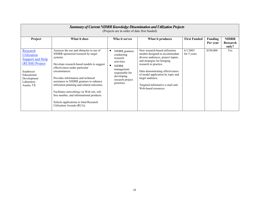|                                                                                                                                                    | <b>Summary of Current NIDRR Knowledge Dissemination and Utilization Projects</b><br>(Projects are in order of date first funded)                                                                                                                                                                                                                                                                                                                                                            |                                                                                                                                                          |                                                                                                                                                                                                                                                                                                                        |                         |                            |                                   |  |  |  |
|----------------------------------------------------------------------------------------------------------------------------------------------------|---------------------------------------------------------------------------------------------------------------------------------------------------------------------------------------------------------------------------------------------------------------------------------------------------------------------------------------------------------------------------------------------------------------------------------------------------------------------------------------------|----------------------------------------------------------------------------------------------------------------------------------------------------------|------------------------------------------------------------------------------------------------------------------------------------------------------------------------------------------------------------------------------------------------------------------------------------------------------------------------|-------------------------|----------------------------|-----------------------------------|--|--|--|
| Project                                                                                                                                            | What it does                                                                                                                                                                                                                                                                                                                                                                                                                                                                                | Who it serves                                                                                                                                            | What it produces                                                                                                                                                                                                                                                                                                       | <b>First Funded</b>     | <b>Funding</b><br>Per year | <b>NIDRR</b><br>Research<br>only? |  |  |  |
| Research<br><b>Utilization</b><br><b>Support and Help</b><br>(RUSH) Project<br>Southwest<br>Educational<br>Development<br>Laboratory<br>Austin, TX | Assesses the use and obstacles to use of<br>NIDRR-sponsored research by target<br>systems.<br>Develops research-based models to suggest<br>effectiveness under particular<br>circumstances.<br>Provides information and technical<br>assistance to NIDRR grantees to enhance<br>utilization planning and related outcomes.<br>Facilitates networking via Web site, toll-<br>free number, and informational products.<br>Solicits applications to fund Research<br>Utilization Awards (RUA). | NIDRR grantees<br>conducting<br>research<br>activities.<br><b>NIDRR</b><br>management<br>responsible for<br>developing<br>research project<br>priorities | New research-based utilization<br>models designed to accommodate<br>diverse audiences, project inputs,<br>and strategies for bringing<br>research to practice.<br>Data demonstrating effectiveness<br>of model application by topic and<br>target audience.<br>Targeted informative e-mail and<br>Web-based resources. | 6/1/2003<br>for 5 years | \$350,000                  | Yes                               |  |  |  |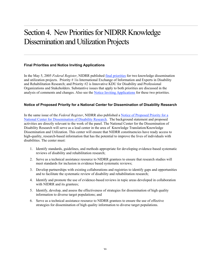## Section 4. New Priorities for NIDRR Knowledge Dissemination and Utilization Projects

#### **Final Priorities and Notice Inviting Applications**

In the May 5, 2005 *Federal Register*, NIDRR published final priorities for two knowledge dissemination and utilization projects. Priority # 1is International Exchange of Information and Experts in Disability and Rehabilitation Research; and Priority #2 is Innovative KDU for Disability and Professional Organizations and Stakeholders. Substantive issues that apply to both priorities are discussed in the analysis of comments and changes. Also see the Notice Inviting Applications for these two priorities.

#### **Notice of Proposed Priority for a National Center for Dissemination of Disability Research**

In the same issue of the *Federal Register*, NIDRR also published a Notice of Proposed Priority for a National Center for Dissemination of Disability Research. The background statement and proposed activities are directly relevant to the work of the panel. The National Center for the Dissemination of Disability Research will serve as a lead center in the area of Knowledge Translation/Knowledge Dissemination and Utilization. This center will ensure that NIDRR constituencies have ready access to high-quality, research-based information that has the potential to improve the lives of individuals with disabilities. The center must:

- 1. Identify standards, guidelines, and methods appropriate for developing evidence-based systematic reviews of disability and rehabilitation research;
- 2. Serve as a technical assistance resource to NIDRR grantees to ensure that research studies will meet standards for inclusion in evidence based systematic reviews;
- 3. Develop partnerships with existing collaborations and registries to identify gaps and opportunities and to facilitate the systematic review of disability and rehabilitation research;
- 4. Identify and promote the use of evidence-based reviews in topic areas developed in collaboration with NIDRR and its grantees;
- 5. Identify, develop, and assess the effectiveness of strategies for dissemination of high quality information to diverse target populations; and
- 6. Serve as a technical assistance resource to NIDRR grantees to ensure the use of effective strategies for dissemination of high quality information to diverse target populations.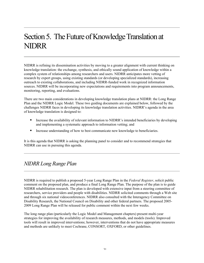## Section 5. The Future of Knowledge Translation at NIDRR

NIDRR is refining its dissemination activities by moving to a greater alignment with current thinking on knowledge translation: the exchange, synthesis, and ethically sound application of knowledge within a complex system of relationships among researchers and users. NIDRR anticipates more vetting of research by expert groups, using existing standards (or developing specialized standards), increasing outreach to existing collaborations, and including NIDRR-funded work in recognized information sources. NIDRR will be incorporating new expectations and requirements into program announcements, monitoring, reporting, and evaluations.

There are two main considerations in developing knowledge translation plans at NIDRR: the Long Range Plan and the NIDRR Logic Model. These two guiding documents are explained below, followed by the challenges NIDRR faces in developing its knowledge translation activities. NIDRR's agenda in the area of knowledge translation is designed to:

- **Increase the availability of relevant information to NIDRR's intended beneficiaries by developing** and implementing a systematic approach to information vetting; and
- Increase understanding of how to best communicate new knowledge to beneficiaries.

It is this agenda that NIDRR is asking the planning panel to consider and to recommend strategies that NIDRR can use in pursuing this agenda.

### *NIDRR Long Range Plan*

NIDRR is required to publish a proposed 5-year Long Range Plan in the *Federal Register*, solicit public comment on the proposed plan, and produce a final Long Range Plan. The purpose of the plan is to guide NIDRR rehabilitation research. The plan is developed with extensive input from a steering committee of researchers, service providers and people with disabilities. NIDRR solicited comments through a Web site and through six national videoconferences. NIDRR also consulted with the Interagency Committee on Disability Research, the National Council on Disability and other federal partners. The proposed 2005- 2009 Long Range Plan will be released for public comment within the next few weeks.

The long range plan (particularly the Logic Model and Management chapters) present multi-year strategies for improving the availability of research measures, methods, and models (tools). Improved tools will result in improved interventions; however, interventions that do not have appropriate measures and methods are unlikely to meet Cochrane, CONSORT, OXFORD, or other guidelines.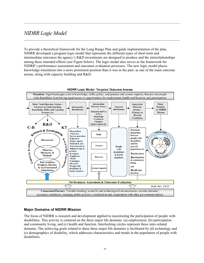## *NIDRR Logic Model*

To provide a theoretical framework for the Long Range Plan and guide implementation of the plan, NIDRR developed a program logic model that represents the different types of short-term and intermediate outcomes the agency's R&D investments are designed to produce and the interrelationships among these intended effects (see Figure below). The logic model also serves as the framework for NIDRR's performance assessment and outcomes evaluation processes. The new logic model places knowledge translation into a more prominent position than it was in the past: as one of the main outcome arenas, along with capacity building and R&D.



#### **Major Domains of NIDRR Mission**

The focus of NIDRR is research and development applied to maximizing the participation of people with disabilities. This activity is centered on the three major life domains (a) employment, (b) participation and community living, and (c) health and function. Interlocking circles represent these inter-related domains. The achieving goals related to these three major life domains is facilitated by (d) technology and (e) demographics of disability, which addresses characteristics and trends in the population of people with disabilities.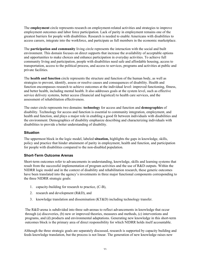The employment circle represents research on employment-related activities and strategies to improve employment outcomes and labor force participation. Lack of parity in employment remains one of the greatest barriers for people with disabilities. Research is needed to enable Americans with disabilities to access careers, integrate into the workforce, and participate as full members in the economic marketplace.

The participation and community living circle represents the interaction with the social and built environment. This domain focuses on direct supports that increase the availability of acceptable options and opportunities to make choices and enhance participation in everyday activities. To achieve full community living and participation, people with disabilities need safe and affordable housing, access to transportation, access to the political process, and access to services, programs and activities at public and private facilities.

The health and function circle represents the structure and function of the human body, as well as strategies to prevent, identify, assess or resolve causes and consequences of disability. Health and function encompasses research to achieve outcomes at the individual level: improved functioning, fitness, and better health, including mental health. It also addresses goals at the system level, such as effective service delivery systems, better access (financial and logistical) to health care services, and the assessment of rehabilitation effectiveness.

The outer circle represents two domains: technology for access and function and demographics of disability. Technology for access and function is essential to community integration, employment, and health and function, and plays a major role in enabling a good fit between individuals with disabilities and the environment. Demographics of disability emphasize describing and characterizing individuals with disabilities to provide a better understanding of disability.

#### **Situation**

The uppermost block in the logic model, labeled situation, highlights the gaps in knowledge, skills, policy and practice that hinder attainment of parity in employment, health and function, and participation for people with disabilities compared to the non-disabled population.

#### **Short-Term Outcome Arenas**

Short-term outcomes refer to advancements in understanding, knowledge, skills and learning systems that result from the successful implementation of program activities and the use of R&D outputs. Within the NIDRR logic model and in the context of disability and rehabilitation research, these generic outcomes have been translated into the agency's investments in three major functional components corresponding to the three NIDRR strategic goals:

- 1. capacity-building for research to practice, (C-B),
- 2. research and development (R&D), and
- 3. knowledge translation and dissemination (KT&D) including technology transfer.

The R&D arena is subdivided into three sub-arenas to reflect advancements in knowledge that occur through (a) discoveries, (b) new or improved theories, measures and methods, (c) interventions and programs, and (d) products and environmental adaptations. Generating new knowledge in this short-term outcomes block is the primary area of direct responsibility for which NIDRR holds itself accountable.

Although the three strategic goals are separately discussed, research is supported by capacity building and feeds knowledge translation, but the process is not linear. The generation of new knowledge raises new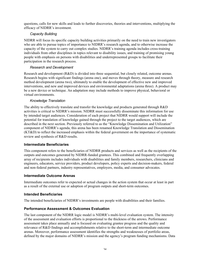questions, calls for new skills and leads to further discoveries, theories and interventions, multiplying the efficacy of NIDRR's investment.

#### *Capacity Building*

NIDRR will focus its specific capacity building activities primarily on the need to train new investigators who are able to pursue topics of importance to NIDRR's research agenda, and to otherwise increase the capacity of the system to carry out complex studies. NIDRR's training agenda includes cross-training individuals from other disciplines in topics relevant to disability issues, and training of promising young people with emphasis on persons with disabilities and underrepresented groups to facilitate their participation in the research process.

#### *Research and Development*

Research and development (R&D) is divided into three sequential, but closely related, outcome arenas. Research begins with significant findings (arena one), and moves through theory, measure and research method development (arena two), ultimately to enable the development of effective new and improved interventions, and new and improved devices and environmental adaptations (arena three). A product may be a new device or technique. An adaptation may include methods to improve physical, behavioral or virtual environments.

#### *Knowledge Translation*

The ability to effectively translate and transfer the knowledge and products generated through R&D activities is critical to NIDRR's mission. NIDRR must successfully disseminate this information for use by intended target audiences. Consideration of each project that NIDRR would support will include the potential for translation of knowledge gained through the project to the target audiences, which are described in the next section. Previously referred to as the "Knowledge Dissemination and Utilization" component of NIDRR's agenda, this arena has been renamed Knowledge Translation and Dissemination (KT&D) to reflect the increased emphasis within the federal government on the importance of systematic review and synthesis of R&D results.

#### **Intermediate Beneficiaries**

This component refers to the beneficiaries of NIDRR products and services as well as the recipients of the outputs and outcomes generated by NIDRR-funded grantees. This combined and frequently overlapping array of recipients includes individuals with disabilities and family members, researchers, clinicians and engineers, educators, service providers, product developers, policy experts and decision-makers, federal and non-federal partners, industry representatives, employers, media, and consumer advocates.

#### **Intermediate Outcome Arenas**

Intermediate outcomes refer to expected or actual changes in the action system that occur at least in part as a result of the external use or adoption of program outputs and short-term outcomes.

#### **Intended Beneficiaries**

The intended beneficiaries of NIDRR's investments are people with disabilities and their families.

#### **Performance Assessment & Outcomes Evaluation**

The last component of the NIDRR logic model is NIDRR's multi-level evaluation system. The intensity of the assessment and evaluation efforts is proportional to the thickness of the arrows. Performance assessment takes place annually and is focused on evaluating grantee progress and the quality and relevance of R&D findings and accomplishments relative to the short-term and intermediate outcome arenas. Moreover, performance assessment identifies the strengths and weaknesses of portfolio areas, defined by the major domains of NIDRR's mission and the agency's program funding mechanisms. Data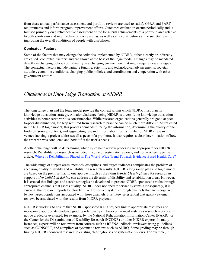from these annual performance assessment and portfolio reviews are used to satisfy GPRA and PART requirements and inform program improvement efforts. Outcomes evaluation occurs periodically and is focused primarily on a retrospective assessment of the long-term achievements of a portfolio area relative to both short-term and intermediate outcome arenas, as well as any contributions at the societal level to improving the overall conditions of people with disabilities.

#### **Contextual Factors**

Some of the factors that may change the activities implemented by NIDRR, either directly or indirectly, are called "contextual factors" and are shown at the base of the logic model. Changes may be mandated directly in changing policies or indirectly in a changing environment that might require new strategies. The contextual factors include variable funding, scientific and technological advancements, societal attitudes, economic conditions, changing public policies, and coordination and cooperation with other government entities.

## *Challenges in Knowledge Translation at NIDRR*

The long range plan and the logic model provide the context within which NIDRR must plan its knowledge translation strategy. A major challenge facing NIDRR is diversifying knowledge translation activities to better serve various constituencies. While research organizations generally are good at peerto-peer dissemination, the leap required from research to practice can be much more difficult. As reflected in the NIDRR logic model, this process demands filtering the information, determining the quality of the findings (source, content), and aggregating research information from a number of NIDRR research venues (no single project addresses all aspects of a problem). It also requires a clear determination of how the research was conducted and how it fits the user's needs.

Another challenge will be determining which systematic review processes are appropriate for NIDRR research. Rehabilitation research is included in some of systematic reviews, and not in others. See the article: Where Is Rehabilitation Placed In The World-Wide Trend Towards Evidence Based Health Care?

The wide range of subject areas, methods, disciplines, and target audiences complicates the problem of accessing quality disability and rehabilitation research results. NIDRR's long range plan and logic model are based on the premise that no one approach such as the *What Works Clearinghouse* for research in support of *No Child Left Behind* can address the diversity of disability and rehabilitation areas. However, it is crucial that linkages and search strategies be developed to present NIDRR sponsored results through appropriate channels that assess quality. NIDRR does not operate service systems. Consequently, it is essential that research reports be closely linked to service systems through channels that are recognized by key target populations associated with those channels. It is likewise essential that quality external reviews be associated with the results from NIDRR projects.

NIDRR is working to ensure that NIDRR sponsored KDU projects link to appropriate resources and incorporate appropriate evidence grading relationships. However, in most instances research reports will not be graded or evaluated, for example, by the National Rehabilitation Information Center (NARIC) or the Center for the Dissemination of Disability Research (NCDDR) or other NIDRR experts. In many instances, experts will be reviewers from sources such as RESNA, editorial reviewers using guidelines such as CONSORT, and compilers of systematic reviews such as AHRQ. Some grading may be through linking NIDRR sponsored research to existing clearinghouses or systematic reviews. For example, in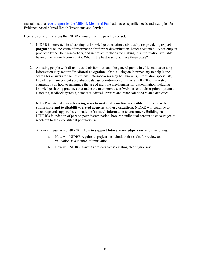mental health a recent report by the Milbank Memorial Fund addressed specific needs and examples for Evidence-based Mental Health Treatments and Service.

Here are some of the areas that NIDRR would like the panel to consider:

- 1. NIDRR is interested in advancing its knowledge translation activities by emphasizing expert judgments on the value of information for further dissemination, better accountability for outputs produced by NIDRR researchers, and improved methods for making this information available beyond the research community. What is the best way to achieve these goals?
- 2. Assisting people with disabilities, their families, and the general public in efficiently accessing information may require "mediated navigation," that is, using an intermediary to help in the search for answers to their questions. Intermediaries may be librarians, information specialists, knowledge management specialists, database coordinators or trainers. NIDRR is interested in suggestions on how to maximize the use of multiple mechanisms for dissemination including knowledge sharing practices that make the maximum use of web servers, subscriptions systems, e-forums, feedback systems, databases, virtual libraries and other solutions related activities.
- 3. NIDRR is interested in advancing ways to make information accessible to the research community and to disability-related agencies and organizations. NIDRR will continue to encourage and support dissemination of research information to consumers. Building on NIDRR's foundation of peer-to-peer dissemination, how can individual centers be encouraged to reach out to their constituent populations?
- 4. A critical issue facing NIDRR is how to support future knowledge translation including:
	- a. How will NIDRR require its projects to submit their results for review and validation as a method of translation?
	- b. How will NIDRR assist its projects to use existing clearinghouses?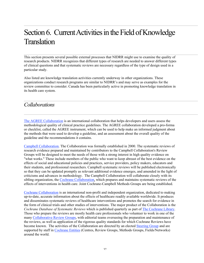## Section 6. Current Activities in the Field of Knowledge **Translation**

This section presents several possible external processes that NIDRR might use to examine the quality of research products. NIDRR recognizes that different types of research are needed to answer different types of clinical questions and that systematic reviews are necessary regardless of the type of design used in a particular study.

Also listed are knowledge translation activities currently underway in other organizations. These organizations conduct research programs are similar to NIDRR's and may serve as examples for the review committee to consider. Canada has been particularly active in promoting knowledge translation in its health care system.

### *Collaborations*

The AGREE Collaboration is an international collaboration that helps developers and users assess the methodological quality of clinical practice guidelines. The AGREE collaboration developed a pro-forma or checklist, called the AGREE instrument, which can be used to help make an informed judgment about the methods that were used to develop a guideline, and an assessment about the overall quality of the guideline and the recommendations it contains.

Campbell Collaboration. The Collaboration was formally established in 2000. The systematic reviews of research evidence prepared and maintained by contributors to the Campbell Collaboration's Review Groups will be designed to meet the needs of those with a strong interest in high quality evidence on "what works." These include members of the public who want to keep abreast of the best evidence on the effects of social and educational policies and practices, service providers, policy makers, educators and their students, and professional researchers. Campbell systematic reviews will be published electronically so that they can be updated promptly as relevant additional evidence emerges, and amended in the light of criticisms and advances in methodology. The Campbell Collaboration will collaborate closely with its sibling organization, the Cochrane Collaboration, which prepares and maintains systematic reviews of the effects of interventions in health care. Joint Cochrane-Campbell Methods Groups are being established.

Cochrane Collaboration is an international non-profit and independent organization, dedicated to making up-to-date, accurate information about the effects of healthcare readily available worldwide. It produces and disseminates systematic reviews of healthcare interventions and promotes the search for evidence in the form of clinical trials and other studies of interventions. The major product of the Collaboration is the *Cochrane Database of Systematic Reviews* which is published quarterly as part of The Cochrane Library. Those who prepare the reviews are mostly health care professionals who volunteer to work in one of the many Collaborative Review Groups, with editorial teams overseeing the preparation and maintenance of the reviews, as well as application of the rigorous quality standards for which Cochrane Reviews have become known. The activities of the Collaboration are directed by an elected Steering Group and are supported by staff in Cochrane Entities (Centres, Review Groups, Methods Groups, Fields/Networks) around the world.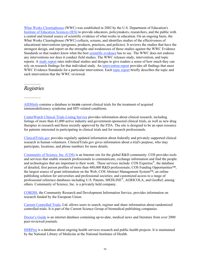What Works Clearinghouse (WWC) was established in 2002 by the U.S. Department of Education's Institute of Education Sciences (IES) to provide educators, policymakers, researchers, and the public with a central and trusted source of scientific evidence of what works in education. On an ongoing basis, the What Works Clearinghouse (WWC) collects, screens, and identifies studies of the effectiveness of educational interventions (programs, products, practices, and policies). It reviews the studies that have the strongest design, and report on the strengths and weaknesses of those studies against the WWC Evidence Standards so that readers know what the best scientific evidence has to say. The WWC does not endorse any interventions nor does it conduct field studies. The WWC releases study, intervention, and topic reports. A study report rates individual studies and designs to give readers a sense of how much they can rely on research findings for that individual study. An intervention report provides all findings that meet WWC Evidence Standards for a particular intervention. Each topic report briefly describes the topic and each intervention that the WWC reviewed.

### *Registries*

AIDSInfo contains a database to locate current clinical trials for the treatment of acquired immunodeficiency syndrome and HIV-related conditions.

CenterWatch Clinical Trials Listing Service provides information about clinical research, including listings of more than 41,000 active industry and government-sponsored clinical trials, as well as new drug therapies in research and those recently approved by the FDA. The site is designed to be an open resource for patients interested in participating in clinical trials and for research professionals.

ClinicalTrials.gov provides regularly updated information about federally and privately supported clinical research in human volunteers. ClinicalTrials.gov gives information about a trial's purpose, who may participate, locations, and phone numbers for more details.

Community of Science, Inc. (COS) is an Internet site for the global R&D community. COS provides tools and services that enable research professionals to communicate, exchange information and find the people and technologies that are important to their work. These services include: COS Expertise<sup>®</sup>, the database of detailed, first person profiles of more than 480,000 R&D professionals; COS Funding Opportunities™, the largest source of grant information on the Web; COS Abstract Management System™, an online publishing solution for universities and professional societies; and customized access to a range of professional reference databases including U.S. Patents, MEDLINE®, AGRICOLA, and GeoRef, among others. Community of Science, Inc. is a privately held company.

CORDIS, the Community Research and Development Information Service, provides information on research funded by the European Union.

Current Controlled Trials, Ltd. allows users to search, register and share information about randomized controlled trials. It is part of the Current Science Group of biomedical publishing companies.

Doctor's Guide is an internet database containing up-to-date, medical news and literature from over 2000 peer-reviewed journals.

HSRProj is a database about ongoing health services research and public health projects. It is maintained by the National Library of Medicine at the National Institutes of Health.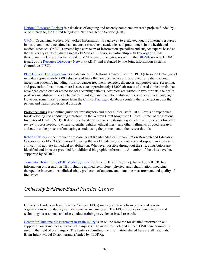National Research Register is a database of ongoing and recently completed research projects funded by, or of interest to, the United Kingdom's National Health Service (NHS).

OMNI (Organising Medical Networked Information) is a gateway to evaluated, quality Internet resources in health and medicine, aimed at students, researchers, academics and practitioners in the health and medical sciences. OMNI is created by a core team of information specialists and subject experts based at the University of Nottingham Greenfield Medical Library, in partnership with key organizations throughout the UK and further afield. OMNI is one of the gateways within the BIOME service. BIOME is part of the Resource Discovery Network (RDN) and is funded by the Joint Information Systems Committee (JISC).

PDQ Clinical Trials Database is a database of the National Cancer Institute. PDQ (Physician Data Query) includes approximately 2,000 abstracts of trials that are open/active and approved for patient accrual (accepting patients), including trials for cancer treatment, genetics, diagnosis, supportive care, screening, and prevention. In addition, there is access to approximately 13,000 abstracts of closed clinical trials that have been completed or are no longer accepting patients. Abstracts are written in two formats, the health professional abstract (uses technical terminology) and the patient abstract (uses non-technical language). However, some trials (obtained from the ClinicalTrials.gov database) contain the same text in both the patient and health professional abstracts.

Protomechanics is an online guide for investigators and other clinical staff – at all levels of experience – for developing and conducting a protocol in the Warren Grant Magnuson Clinical Center of the National Institutes of Health (NIH). It describes the steps necessary to design a good clinical protocol; defines the review process needed to ensure scientific validity, ethical merit, and other hallmarks of good research; and outlines the process of managing a study using the protocol and other research tools.

RehabTrials.org is the product of researchers at Kessler Medical Rehabilitation Research and Education Corporation (KMRREC) interested in using the world wide web to encourage and support an increase in clinical trial activity in medical rehabilitation. Whenever possible throughout the site, contributors are identified and links are provided for additional biographic information. A number of the trials have been supported by NIDRR.

Traumatic Brain Injury (TBI) Model Systems Registry (TBIMS Registry), funded by NIDRR, has information on research in TBI including applied technology, physical and rehabilitation, medicine, therapeutic interventions, clinical trials, predictors of outcome and outcome measurement, and quality of life issues.

### *University Evidence-Based Practice Centers*

University Evidence-Based Practice Centers (EPCs) manage contracts from public and private organizations to conduct systematic reviews and analyses. The EPCs produce evidence reports and technology assessments and also conduct training in evidence-based research.

Center for Outcome Measurement in Brain Injury is an online resource for detailed information and support on outcome measures for brain injuries. The measures included in the COMBI are commonly used in the field of brain injury. The centers submitting the information shared here are all Traumatic Brain Injury Model System grants (funded by NIDRR).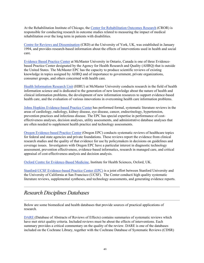At the Rehabilitation Institute of Chicago, the Center for Rehabilitation Outcomes Research (CROR) is responsible for conducting research in outcome studies related to measuring the impact of medical rehabilitation over the long term in patients with disabilities.

Centre for Reviews and Dissemination (CRD) at the University of York, UK, was established in January 1994, and provides research-based information about the effects of interventions used in health and social care.

Evidence Based Practice Center at McMaster University in Ontario, Canada is one of three Evidencebased Practice Center designated by the Agency for Health Research and Quality (AHRQ) that is outside the United States. The McMaster EPC has the capacity to produce scientific reviews of existing knowledge in topics assigned by AHRQ and of importance to government, private organizations, consumer groups, and others concerned with health care.

Health Information Research Unit (HIRU) at McMaster University conducts research in the field of health information science and is dedicated to the generation of new knowledge about the nature of health and clinical information problems, the development of new information resources to support evidence-based health care, and the evaluation of various innovations in overcoming health care information problems.

Johns Hopkins Evidence-based Practice Center has performed formal, systematic literature reviews in the areas of cardiology, radiology, kidney disease, eye disease, cancer, endocrinology, hypertension, prevention practices and infectious disease. The EPC has special expertise in performance of costeffectiveness analyses, decision analyses, utility assessments, and administrative database analyses that are often needed to supplement health practice and technology assessments.

Oregon Evidence-based Practice Center (Oregon EPC) conducts systematic reviews of healthcare topics for federal and state agencies and private foundations. These reviews report the evidence from clinical research studies and the quality of that evidence for use by policymakers in decisions on guidelines and coverage issues. Investigators with Oregon EPC have a particular interest in diagnostic technology assessment, prevention effectiveness, evidence-based informatics, research in managed care, and critical appraisal of cost-effectiveness analysis and decision analysis.

Oxford Centre for Evidence-Based Medicine, Institute for Health Sciences, Oxford, UK.

Stanford-UCSF Evidence-based Practice Center (EPC) is a joint effort between Stanford University and the University of California at San Francisco (UCSF). The Center conducti high quality systematic literature reviews, supplemental syntheses, and technology assessments, and generating evidence reports.

### *Research Disciplines Databases*

Below are some biomedical and health databases that provide sources of practical applications of research.

DARE (Database of Abstracts of Reviews of Effects) contains summaries of systematic reviews which have met strict quality criteria. Included reviews must be about the effects of interventions. Each summary provides a critical commentary on the quality of the review. DARE is one of the databases included on the Cochrane Library, together with the Cochrane Database of Systematic Reviews (CDSR)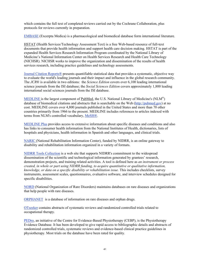which contains the full text of completed reviews carried out by the Cochrane Collaboration, plus protocols for reviews currently in preparation.

EMBASE (Excerpta Medica) is a pharmacological and biomedical database form international literature.

HSTAT (Health Services/Technology Assessment Text) is a free Web-based resource of full-text documents that provide health information and support health care decision making. HSTAT is part of the expanded Health Services Research Information Program coordinated by the National Library of Medicine's National Information Center on Health Services Research and Health Care Technology (NICHSR). NICHSR works to improve the organization and dissemination of the results of health services research, including practice guidelines and technology assessments.

Journal Citation Reports® presents quantifiable statistical data that provides a systematic, objective way to evaluate the world's leading journals and their impact and influence in the global research community. The *JCR*® is available in two editions: the *Science Edition* covers over 6,100 leading international science journals from the ISI database; the *Social Sciences Edition* covers approximately 1,800 leading international social sciences journals from the ISI database.

MEDLINE is the largest component of PubMed, the U.S. National Library of Medicine's (NLM<sup>®</sup>) database of biomedical citations and abstracts that is searchable on the Web (http://pubmed.gov) at no cost. MEDLINE covers over 4,800 journals published in the United States and more than 70 other countries primarily from 1966 to the present. MEDLINE includes references to articles indexed with terms from NLM's controlled vocabulary, MeSH®.

MEDLINE Plus provides access to extensive information about specific diseases and conditions and also has links to consumer health information from the National Institutes of Health, dictionaries, lists of hospitals and physicians, health information in Spanish and other languages, and clinical trials.

NARIC (National Rehabilitation Information Center), funded by NIDRR, is an online gateway to disability and rehabilitation information organized in a variety of formats.

NIDRR Tools Collection is a web site that supports NIDRR's commitment to the widespread dissemination of the scientific and technological information generated by grantees' research, demonstration projects, and training related activities. A tool is defined here as *an instrument or process created, in whole or part using NIDRR funding, to acquire quantitative or qualitative information, knowledge, or data on a specific disability or rehabilitation issue.* This includes checklists, survey instruments, assessment scales, questionnaires, evaluative software, and interview schedules designed for specific disabilities.

NORD (National Organization of Rare Disorders) maintains databases on rare diseases and organizations that help people with rare diseases.

ORPHANET is a database of information on rare diseases and orphan drugs.

OTseeker contains abstracts of systematic reviews and randomized controlled trials related to occupational therapy.

PEDro, an initiative of the Centre for Evidence-Based Physiotherapy (CEBP), is the Physiotherapy Evidence Database. It has been developed to give rapid access to bibliographic details and abstracts of randomized controlled trials, systematic reviews and evidence-based clinical practice guidelines in physiotherapy. Most trials on the database have been rated for quality.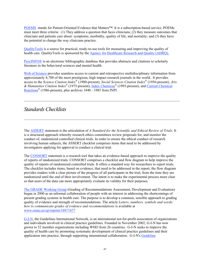POEMS stands for Patient-Oriented Evidence that Matters™. It is a subscription-based service. POEMs must meet three criteria: (1) They address a question that faces clinicians; (2) they measure outcomes that clinicians and patients care about: symptoms, morbidity, quality of life, and mortality; and (3) they have the potential to change the way clinicians practice.

QualityTools is a source for practical, ready-to-use tools for measuring and improving the quality of health care. QualityTools is sponsored by the Agency for Healthcare Research and Quality (AHRQ).

PsycINFO® is an electronic bibliographic database that provides abstracts and citations to scholarly literature in the behavioral sciences and mental health.

Web of Science provides seamless access to current and retrospective multidisciplinary information from approximately 8,700 of the most prestigious, high impact research journals in the world. It provides access to the *Science Citation Index*® (1900-present), *Social Sciences Citation Index*® (1956-present), *Arts & Humanities Citation Index*® (1975-present), Index Chemicus® (1993-present), and Current Chemical Reactions® (1986-present), plus archives 1840 - 1985 from INPI.

### *Standards Checklists*

The ASSERT statement is the articulation of *A Standard for the Scientific and Ethical Review of Trials*. It is a structured approach whereby research ethics committees review proposals for, and monitor the conduct of, randomized controlled clinical trials. In order to ensure the ethical conduct of research involving human subjects, the ASSERT checklist comprises items that need to be addressed by investigators applying for approval to conduct a clinical trial.

The CONSORT statement is a research tool that takes an evidence-based approach to improve the quality of reports of randomized trials. CONSORT comprises a checklist and flow diagram to help improve the quality of reports of randomized controlled trials. It offers a standard way for researchers to report trials. The checklist includes items, based on evidence, that need to be addressed in the report; the flow diagram provides readers with a clear picture of the progress of all participants in the trial, from the time they are randomized until the end of their involvement. The intent is to make the experimental process more clear so that users of the data can more appropriately evaluate its validity for their purposes.

The GRADE Working Group (Grading of Recommendations Assessment, Development and Evaluation) began in 2000 as an informal collaboration of people with an interest in addressing the shortcomings of present grading systems in health care. The purpose is to develop a common, sensible approach to grading quality of evidence and strength of recommendations. The article *Letters, numbers, symbols and words: how to communicate grades of evidence and recommendations* is available at www.cmaj.ca/cgi/reprint/169/7/677

G-I-N, the Guidelines International Network, is an international not-for-profit association of organizations and individuals involved in clinical practice guidelines. Founded in November 2002, G-I-N has now grown to 52 member organizations including WHO from 26 countries. G-I-N seeks to improve the quality of health care by promoting systematic development of clinical practice guidelines and their application into practice, through supporting international collaboration. G-I-N's Guideline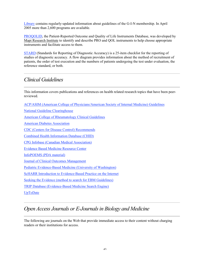Library contains regularly-updated information about guidelines of the G-I-N membership. In April 2005 more than 2,600 programs are available.

PROQOLID, the Patient-Reported Outcome and Quality of Life Instruments Database, was developed by Mapi Research Institute to identify and describe PRO and QOL instruments to help choose appropriate instruments and facilitate access to them.

STARD (Standards for Reporting of Diagnostic Accuracy) is a 25-item checklist for the reporting of studies of diagnostic accuracy. A flow diagram provides information about the method of recruitment of patients, the order of test execution and the numbers of patients undergoing the test under evaluation, the reference standard, or both.

## *Clinical Guidelines*

This information covers publications and references on health related research topics that have been peerreviewed.

ACP/ASIM (American College of Physicians/American Society of Internal Medicine) Guidelines National Guideline Clearinghouse American College of Rheumatology Clinical Guidelines American Diabetes Association CDC (Centers for Disease Control) Recommends Combined Health Information Database (CHID) CPG Infobase (Canadian Medical Association) Evidence Based Medicine Resource Center InfoPOEMS (PDA material) Journal of Clinical Outcomes Management Pediatric Evidence-Based Medicine (University of Washington) ScHARR Introduction to Evidence-Based Practice on the Internet Seeking the Evidence (method to search for EBM Guidelines) TRIP Database (Evidence-Based Medicine Search Engine) UpToDate

## *Open Access Journals or E-Journalsin Biology and Medicine*

The following are journals on the Web that provide immediate access to their content without charging readers or their institutions for access.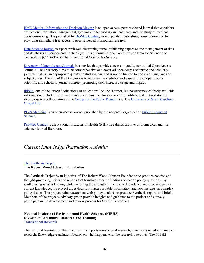BMC Medical Informatics and Decision Making is an open access, peer-reviewed journal that considers articles on information management, systems and technology in healthcare and the study of medical decision-making. It is published by BioMed Central, an independent publishing house committed to providing immediate free access to peer-reviewed biomedical research.

Data Science Journal is a peer-reviewed electronic journal publishing papers on the management of data and databases in Science and Technology. It is a journal of the Committee on Data for Science and Technology (CODATA) of the International Council for Science.

Directory of Open Access Journals is a service that provides access to quality controlled Open Access Journals. The Directory aims to be comprehensive and cover all open access scientific and scholarly journals that use an appropriate quality control system, and is not be limited to particular languages or subject areas. The aim of the Directory is to increase the visibility and ease of use of open access scientific and scholarly journals thereby promoting their increased usage and impact.

Ibiblio, one of the largest "collections of collections" on the Internet, is a conservancy of freely available information, including software, music, literature, art, history, science, politics, and cultural studies. ibiblio.org is a collaboration of the Center for the Public Domain and The University of North Carolina - Chapel Hill.

PLoS Medicine is an open-access journal published by the nonprofit organization Public Library of Science.

PubMed Central is the National Institutes of Health (NIH) free digital archive of biomedical and life sciences journal literature.

### *CurrentKnowledge Translation Activities*

#### The Synthesis Project

#### The Robert Wood Johnson Foundation

The Synthesis Project is an initiative of The Robert Wood Johnson Foundation to produce concise and thought-provoking briefs and reports that translate research findings on health policy questions. By synthesizing what is known, while weighing the strength of the research evidence and exposing gaps in current knowledge, the project gives decision-makers reliable information and new insights on complex policy issues. The project pairs researchers with policy analysts to produce Synthesis reports and briefs. Members of the project's advisory group provide insights and guidance to the project and actively participate in the development and review process for Synthesis products.

#### National Institute of Environmental Health Sciences (NIEHS) Division of Extramural Research and Training Translational Research

The National Institutes of Health currently supports translational research, which originated with medical research. Knowledge translation focuses on what happens with the research outcomes. The NIEHS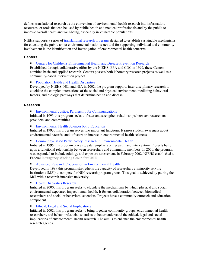defines translational research as the conversion of environmental health research into information, resources, or tools that can be used by public health and medical professionals and by the public to improve overall health and well-being, especially in vulnerable populations.

NIEHS supports a series of translational research programs designed to establish sustainable mechanisms for educating the public about environmental health issues and for supporting individual and community involvement in the identification and investigation of environmental health concerns.

#### **Centers**

**Centers for Children's Environmental Health and Disease Prevention Research** 

Established through collaborative effort by the NIEHS, EPA and CDC in 1999, these Centers combine basic and applied research. Centers possess both laboratory research projects as well as a community-based intervention project.

Population Health and Health Disparities

Developed by NIEHS, NCI and NIA in 2002, the program supports inter-disciplinary research to elucidate the complex interactions of the social and physical environment, mediating behavioral factors, and biologic pathways that determine health and disease.

#### **Research**

**Environmental Justice: Partnership for Communications** 

Initiated in 1993 this program seeks to foster and strengthen relationships between researchers, providers, and communities.

**Environmental Health Sciences K-12 Education** 

Initiated in 1993, this program serves two important functions. It raises student awareness about environmental hazards, and it fosters an interest in environmental health sciences.

**Community-Based Participatory Research in Environmental Health** 

Initiated in 1995 this program places greater emphasis on research and intervention. Projects build upon a functional relationship between researchers and community members. In 2000, the program was expanded to include etiology and exposure assessment. In February 2002, NIEHS established a Federal Interagency Working Group for CBPR.

Advanced Research Cooperation in Environmental Health

Developed in 1999 this program strengthens the capacity of researchers at minority serving institutions (MSI) to compete for NIH research program grants. This goal is achieved by pairing the MSI with a research-intensive university.

#### Health Disparities Research

Initiated in 2000, this program seeks to elucidate the mechanisms by which physical and social environmental exposures impact human health. It fosters collaboration between biomedical researchers and social or behavioral scientists. Projects have a community outreach and education component.

#### Ethical, Legal and Social Implications

Initiated in 2002, this program seeks to bring together community groups, environmental health researchers, and behavioral/social scientists to better understand the ethical, legal and social implications of environmental health research. The aim is to enhance the environmental health research agenda.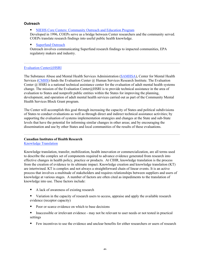#### **Outreach**

NIEHS Core Centers: Community Outreach and Education Program

Developed in 1996, COEPs serve as a bridge between Center researchers and the community served. COEPs translate research findings into useful public health knowledge.

#### ■ Superfund Outreach

Outreach involves communicating Superfund research findings to impacted communities, EPA regulatory makers and industry.

#### Evaluation Center@HSRI

The Substance Abuse and Mental Health Services Administration (SAMHSA), Center for Mental Health Services (CMHS) funds the Evaluation Center @ Human Services Research Institute. The Evaluation Center @ HSRI is a national technical assistance center for the evaluation of adult mental health systems change. The mission of the Evaluation Center@HSRI is to provide technical assistance in the area of evaluation to States and nonprofit public entities within the States for improving the planning, development, and operation of adult mental health services carried out as part of the Community Mental Health Services Block Grant program.

The Center will accomplish this goal through increasing the capacity of States and political subdivisions of States to conduct evaluations as well as through direct and indirect technical assistance activities; by supporting the evaluation of systems implementation strategies and changes at the State and sub-State levels that have the potential for informing similar changes in other areas; and by encouraging the dissemination and use by other States and local communities of the results of these evaluations.

#### Canadian Institutes of Health Research

Knowledge Translation

Knowledge translation, transfer, mobilization, health innovation or commercialization, are all terms used to describe the complex set of components required to advance evidence generated from research into effective changes in health policy, practice or products. At CIHR, knowledge translation is the process from the creation of evidence to its ultimate impact. Knowledge creation and knowledge translation (KT) are intertwined. KT is complex and not always a straightforward chain of linear events. It is an active process that involves a multitude of stakeholders and requires relationships between suppliers and users of knowledge at various stages. A number of factors are often cited as impediments to the translation of knowledge into use. These factors include:

- A lack of awareness of existing research
- Variation in the capacity of research users to access, appraise and apply the available research evidence (receptor capacity)
- Poor or scarce evidence on which to base decisions
- Inaccessible or irrelevant evidence may not be relevant to user needs or not tested in practical settings
- Few incentives to use the evidence and unclear benefits for either researchers or users of research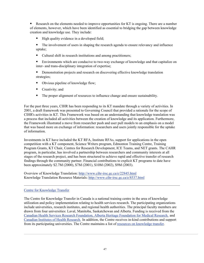Research on the elements needed to improve opportunities for KT is ongoing. There are a number of elements, however, which have been identified as essential to bridging the gap between knowledge creation and knowledge use. They include:

- $\blacksquare$  High quality evidence in a developed field;
- The involvement of users in shaping the research agenda to ensure relevancy and influence uptake;
- Cultural shift in research institutions and among practitioners;

 Environments which are conducive to two-way exchange of knowledge and that capitalize on inter- and trans-disciplinary integration of expertise;

- **•** Demonstration projects and research on discovering effective knowledge translation strategies;
- Obvious pipeline of knowledge flow;
- Creativity; and
- The proper alignment of resources to influence change and ensure sustainability.

For the past three years, CIHR has been responding to its KT mandate through a variety of activities. In 2001, a draft framework was presented to Governing Council that provided a rationale for the scope of CIHR's activities in KT. This Framework was based on an understanding that knowledge translation was a process that included all activities between the creation of knowledge and its application. Furthermore, the Framework illustrated a move from researcher push and user pull models to an emphasis on a model that was based more on exchange of information: researchers and users jointly responsible for the uptake of information.

Investments in KT have included the KT RFA, Institute RFAs, support for applications in the open competition with a KT component, Science Writers program, Edmonton Training Centre, Training Program Grants, KT Chair, Centres for Research Development, ICE Teams, and NET grants. The CAHR program, in particular, has involved a partnership between researchers and community interests at all stages of the research project, and has been structured to achieve rapid and effective transfer of research findings through the community partner. Financial contributions to explicit KT programs to date have been approximately \$2.7M (2000), \$7M (2001), \$10M (2002), \$9M (2003).

Overview of Knowledge Translation: http://www.cihr-irsc.gc.ca/e/22845.html Knowledge Translation Resource Materials: http://www.cihr-irsc.gc.ca/e/8537.html

#### Centre for Knowledge Transfer

The Centre for Knowledge Transfer in Canada is a national training centre in the area of knowledge utilization and policy implementation relating to health services research. The participating organizations include universities, research institutes, and regional health authorities. The principal faculty members are drawn from four universities: Laval, Manitoba, Saskatchewan and Alberta. Funding is received from the Canadian Health Services Research Foundation, Alberta Heritage Foundation for Medical Research, and Canadian Institutes of Health Research. In addition, the Centre receives in-kind contributions and support from its participating universities. The Centre maintains a list of resources on knowledge transfer.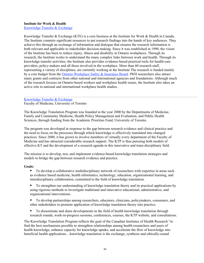#### Institute for Work & Health

Knowledge Transfer & Exchange

Knowledge Transfer & Exchange (KTE) is a core business at the Institute for Work & Health in Canada. The Institute commits significant resources to put research findings into the hands of key audiences. They achieve this through an exchange of information and dialogue that ensures the research information is both relevant and applicable to stakeholder decision-making. Since it was established in 1990, the vision of the Institute has been to reduce injury, illness and disability in Ontario workplaces. Through its research, the Institute works to understand the many complex links between work and health. Through its knowledge transfer activities, the Institute also provides evidence-based practical tools for health-care providers, policy-makers and all those involved in the workplace. More than 60 research staff, representing a variety of disciplines, are currently working at the Institute The research is funded mainly by a core budget from the Ontario Workplace Safety & Insurance Board. IWH researchers also attract many grants and contracts from other national and international agencies and foundations. Although much of the research focuses on Ontario-based workers and workplace health issues, the Institute also takes an active role in national and international workplace health studies.

#### Knowledge Transfer & Exchange Faculty of Medicine, University of Toronto

The Knowledge Translation Program was founded in the year 2000 by the Departments of Medicine, Family and Community Medicine, Health Policy Management and Evaluation, and Public Health Sciences, through funding from the Academic Priorities Fund, University of Toronto.

The program was developed in response to the gap between research evidence and clinical practice and the need to focus on the processes through which knowledge is effectively translated into changed practices. Since 2000, it has grown to involve members of virtually every department of the Faculty of Medicine and has attracted considerable research support. The KTP is thus pursuing both models of effective KT and the development of a research agenda in this innovative and trans-disciplinary field.

The mission is to develop, test, and implement evidence-based knowledge translation strategies and models to bridge the gap between research evidence and practice.

#### Goals:

■ To develop a collaborative multidisciplinary network of researchers with expertise in areas such as evidence based medicine, health informatics, technology, education, organizational learning, and interdisciplinary collaboration, committed to the field of knowledge translation.

- To strengthen our understanding of knowledge translation theory and its practical applications by using rigorous methods to investigate traditional and innovative educational, administrative, and organizational interventions.
- To develop partnerships among researchers, educators, clinicians, policymakers, consumers, and other stakeholders to promote application of knowledge translation theory into practice.
- To disseminate and share developments in the field of health knowledge translation through research rounds, work-in-progress sessions, conferences, courses, the KTP website, and consultations.

The Knowledge Translation Program reflects the goal of the Canadian Institutes of Health Research "to find the best mechanisms possible to strengthen relationships among health researchers and users of health knowledge, enhance capacity for knowledge uptake, and accelerate the flow of knowledge into beneficial health applications…knowledge translation is the exchange, synthesis and ethically-sound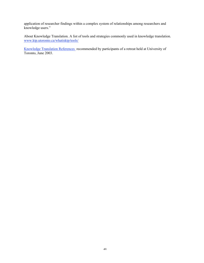application of researcher findings within a complex system of relationships among researchers and knowledge users."

About Knowledge Translation. A list of tools and strategies commonly used in knowledge translation. www.ktp.utoronto.ca/whatisktp/tools/

Knowledge Translation References recommended by participants of a retreat held at University of Toronto, June 2003.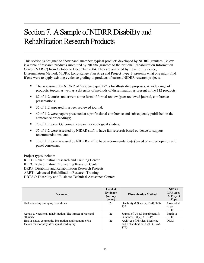## Section 7. A Sample of NIDRR Disability and Rehabilitation Research Products

This section is designed to show panel members typical products developed by NIDRR grantees. Below is a table of research products submitted by NIDRR grantees to the National Rehabilitation Information Center (NARIC) from October to December 2004. They are analyzed by Level of Evidence, Dissemination Method, NIDRR Long-Range Plan Area and Project Type. It presents what one might find if one were to apply existing evidence grading to products of current NIDRR research projects.

- The assessment by NIDRR of "evidence quality" is for illustrative purposes. A wide range of products, topics, as well as a diversity of methods of dissemination is present in the 112 products;
- 87 of 112 entries underwent some form of formal review (peer reviewed journal, conference presentation);
- 35 of 112 appeared in a peer reviewed journal;
- 49 of 112 were papers presented at a professional conference and subsequently published in the conference proceedings;
- 20 of 112 were 'Outcomes' Research or ecological studies;
- 57 of 112 were assessed by NIDRR staff to have fair research-based evidence to support recommendations; and
- 10 of 112 were assessed by NIDRR staff to have recommendation(s) based on expert opinion and panel consensus.

Project types include:

RRTC: Rehabilitation Research and Training Center

RERC: Rehabilitation Engineering Research Center

DRRP: Disability and Rehabilitation Research Projects

ARRT: Advanced Rehabilitation Research Training

DBTAC: Disability and Business Technical Assistance Centers

| <b>Document</b>                                                                                           | Level of<br>Evidence<br>(see key<br>below) | <b>Dissemination Method</b>                                                   | <b>NIDRR</b><br><b>LRP</b> Area<br>& Project<br><b>Type</b> |
|-----------------------------------------------------------------------------------------------------------|--------------------------------------------|-------------------------------------------------------------------------------|-------------------------------------------------------------|
| Understanding emerging disabilities                                                                       | 2c                                         | Disability & Society, 19(4), 323-<br>337                                      | Associated<br>Areas<br>RRTC                                 |
| Access to vocational rehabilitation: The impact of race and<br>ethnicity                                  | 2c                                         | Journal of Visual Impairment $\&$<br>Blindness, 98(7), 410-419                | Employ;<br><b>RRTC</b>                                      |
| Health status, community integration, and economic risk<br>factors for mortality after spinal cord injury | 2c                                         | Archives of Physical Medicine<br>and Rehabilitation, $85(11)$ , 1764-<br>1773 | <b>DRRP</b>                                                 |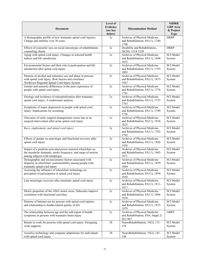| <b>Document</b>                                                                                                                                                     | Level of<br><b>Evidence</b><br>(see key<br>below) | <b>Dissemination Method</b>                                                    | <b>NIDRR</b><br><b>LRP</b> Area<br>& Project<br><b>Type</b> |
|---------------------------------------------------------------------------------------------------------------------------------------------------------------------|---------------------------------------------------|--------------------------------------------------------------------------------|-------------------------------------------------------------|
| A demographic profile of new traumatic spinal cord injuries:<br>Change and stability over 30 years                                                                  | 2c                                                | Archives of Physical Medicine<br>and Rehabilitation, 85(11), 1740-<br>1748     | <b>DRRP</b>                                                 |
| Effects of counselor race on racial stereotypes of rehabilitation<br>counseling clients                                                                             | 2c                                                | Disability and Rehabilitation,<br>26(20), 1214-1220                            | <b>DRRP</b>                                                 |
| Aging with spinal cord injury: Changes in selected health<br>indices and life satisfaction                                                                          | 2c                                                | Archives of Physical Medicine<br>and Rehabilitation, 85(11), 1848-<br>1853     | <b>SCI</b> Model<br>System                                  |
| Environmental factors and their role in participation and life<br>satisfaction after spinal cord injury                                                             | 2c                                                | Archives of Physical Medicine<br>and Rehabilitation, 85(11), 1793-<br>1803     | <b>SCI</b> Model<br>System                                  |
| Patterns of alcohol and substance use and abuse in persons<br>with spinal cord injury: Risk factors and correlates.<br>Northwest Regional Spinal Cord Injury System | 2c                                                | Archives of Physical Medicine<br>and Rehabilitation, 85(11), 1837-<br>1847     | <b>SCI</b> Model<br>System                                  |
| Gender and minority differences in the pain experience of<br>people with spinal cord injury                                                                         | 2c                                                | Archives of Physical Medicine<br>and Rehabilitation, 85(11), 1774-<br>1781     | <b>SCI</b> Model<br>System                                  |
| Etiology and incidence of rehospitalization after traumatic<br>spinal cord injury: A multicenter analysis                                                           | 2c                                                | Archives of Physical Medicine<br>and Rehabilitation, 85(11), 1757-<br>1763     | <b>SCI</b> Model<br>System                                  |
| Symptoms of major depression in people with spinal cord<br>injury: Implications for screening                                                                       | 2c                                                | Archives of Physical Medicine<br>and Rehabilitation, 85(11), 1749-<br>1756     | <b>SCI</b> Model<br>System                                  |
| Outcomes of early surgical management versus late or no<br>surgical intervention after acute spinal cord injury                                                     | 2c                                                | Archives of Physical Medicine<br>and Rehabilitation, 85(11), 1818-<br>1825     | <b>SCI</b> Model<br>System                                  |
| Race, employment, and spinal cord injury                                                                                                                            | 2c                                                | Archives of Physical Medicine<br>and Rehabilitation, 85(11), 1782-<br>1792     | <b>SCI</b> Model<br>System                                  |
| Effects of gender on neurologic and functional recovery after<br>spinal cord injury                                                                                 | 2c                                                | Archives of Physical Medicine<br>and Rehabilitation, 85(11), 1826-<br>1836     | <b>SCI</b> Model<br>System                                  |
| Impact of a pushrim-activated power-assisted wheelchair on<br>the metabolic demands, stroke frequency, and range of motion<br>among subjects with tetraplegia       | 2c                                                | Archives of Physical Medicine<br>and Rehabilitation, 85(11), 1865-<br>1871     | <b>SCI</b> Model<br>System                                  |
| Demographic and socioeconomic factors associated with<br>disparity in wheelchair customizability among people with<br>traumatic spinal cord injury                  | 2c                                                | Archives of Physical Medicine<br>and Rehabilitation, 85(11), 1859-<br>1864     | <b>SCI</b> Model<br>System                                  |
| Assessing the influence of wheelchair technology on<br>perception of participation in spinal cord injury                                                            | $2\mathrm{c}$                                     | Archives of Physical Medicine<br>and Rehabilitation, 85(11), 1854-<br>1858     | <b>SCI</b> Model<br>System                                  |
| Late neurologic recovery after traumatic spinal cord injury                                                                                                         | 2c                                                | Archives of Physical Medicine<br>and Rehabilitation, 85(11), 1811-<br>1817     | <b>SCI</b> Model<br>System                                  |
| Metric properties of the ASIA motor score: Subscales improve<br>correlation with functional activities                                                              | 2c                                                | Archives of Physical Medicine<br>and Rehabilitation, 85(11), 1804-<br>1810     | <b>SCI</b> Model<br>System                                  |
| Patterns of Internet use by persons with spinal cord injuries<br>and relationship to health-related quality of life                                                 | 2c                                                | Archives of Physical Medicine<br>and Rehabilitation, 85(11), 1872-<br>1879     | <b>SCI</b> Model<br>System                                  |
| The relationship between age and the self-report of health<br>symptoms in persons with traumatic brain injury                                                       | 2c                                                | Archives of Physical Medicine<br>and Rehabilitation, 85(4, Suppl 2)<br>S61-S67 | ARRT                                                        |
| Return to work for persons with spinal cord injury: Designing<br>work supports                                                                                      | 3 <sub>b</sub>                                    | NeuroRehabilitation, 19(2), 131-<br>139                                        | <b>SCI</b> Model<br>System                                  |
| Assistive technology and computer adaptations for individuals<br>with spinal cord injury                                                                            | 3 <sub>b</sub>                                    | NeuroRehabilitation, 19(2), 141-<br>146                                        | <b>SCI</b> Model<br>System                                  |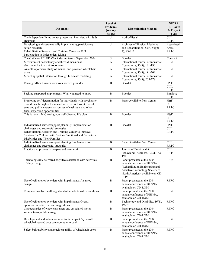| <b>Document</b>                                                                                                                                                                                                                                             | Level of<br><b>Evidence</b><br>(see key<br>below) | <b>Dissemination Method</b>                                                                                                                                                 | <b>NIDRR</b><br><b>LRP</b> Area<br>& Project<br><b>Type</b> |
|-------------------------------------------------------------------------------------------------------------------------------------------------------------------------------------------------------------------------------------------------------------|---------------------------------------------------|-----------------------------------------------------------------------------------------------------------------------------------------------------------------------------|-------------------------------------------------------------|
| The independent living center presents an interview with Judy<br>Heumann                                                                                                                                                                                    | 5                                                 | Audio/Visual                                                                                                                                                                | CI/IL<br><b>RRTC</b>                                        |
| Developing and systematically implementing participatory<br>action research<br>Rehabilitation Research and Training Center on Full<br>Participation in Independent Living                                                                                   | 5                                                 | Archives of Physical Medicine<br>and Rehabilitation, 85(4, Suppl<br>2), S3-S12.                                                                                             | Associated<br>Areas<br><b>RRTC</b>                          |
| The Guide to ABLEDATA indexing terms, September 2004                                                                                                                                                                                                        | 5                                                 | Booklet                                                                                                                                                                     | Contract                                                    |
| Measurement consistency and three-dimensional<br>electromechanical anthropometry                                                                                                                                                                            | $\overline{A}$                                    | International Journal of Industrial<br>Ergonomics, 33(3), 181-190                                                                                                           | <b>RERC</b>                                                 |
| An anthropometric study of manual and powered wheelchair<br>users                                                                                                                                                                                           | A                                                 | International Journal of Industrial<br>Ergonomics, 33(3), 191-204                                                                                                           | <b>RERC</b>                                                 |
| Modeling spatial interaction through full-scale modeling                                                                                                                                                                                                    | A                                                 | International Journal of Industrial<br>Ergonomics, 33(3), 265-278                                                                                                           | <b>RERC</b>                                                 |
| Raising difficult issues with your service provider                                                                                                                                                                                                         | B                                                 | Booklet                                                                                                                                                                     | H&F<br>CI/IL<br><b>RRTC</b>                                 |
| Seeking supported employment: What you need to know                                                                                                                                                                                                         | B                                                 | Booklet                                                                                                                                                                     | Employ;<br><b>RRTC</b>                                      |
| Promoting self-determination for individuals with psychiatric<br>disabilities through self-directed services: A look at federal,<br>state and public systems as sources of cash-outs and other<br>fiscal expansion opportunities                            | B                                                 | Paper Available from Center                                                                                                                                                 | H&F<br>CI/IL<br><b>RRTC</b>                                 |
| This is your life! Creating your self-directed life plan                                                                                                                                                                                                    | B                                                 | Booklet                                                                                                                                                                     | $H\&F$<br>CI/IL<br><b>RRTC</b>                              |
| Individualized service/support planning: Implementation<br>challenges and successful strategies<br>Rehabilitation Research and Training Center to Improve<br>Services for Children with Serious Emotional and Behavioral<br>Disabilities and Their Families | B                                                 | Booklet                                                                                                                                                                     | H&F<br>CI/IL<br><b>RRTC</b>                                 |
| Individualized service/support planning: Implementation<br>challenges and successful strategies                                                                                                                                                             | B                                                 | Paper Available from Center                                                                                                                                                 | CI/IL<br><b>RRTC</b>                                        |
| Practice and process in wraparound teamwork                                                                                                                                                                                                                 | B                                                 | Journal of Emotional &<br>Behavioral Disorders, 12(3), 182-<br>192.                                                                                                         | $\mathrm{C}\mathrm{I}/\mathrm{I}\mathrm{L}$<br><b>RRTC</b>  |
| Technologically delivered cognitive assistance with activities<br>of daily living                                                                                                                                                                           | B                                                 | Paper presented at the 2004<br>annual conference of RESNA<br>(Rehabilitation Engineering and<br>Assistive Technology Society of<br>North America), available on CD-<br>ROM. | <b>RERC</b>                                                 |
| Use of cell phones by elders with impairments: A survey<br>design                                                                                                                                                                                           | B                                                 | Paper presented at the 2004<br>annual conference of RESNA,<br>available on CD-ROM.                                                                                          | <b>RERC</b>                                                 |
| Computer use by middle-aged and older adults with disabilities                                                                                                                                                                                              | $\, {\bf B}$                                      | Paper presented at the 2004<br>annual conference of RESNA,<br>available on CD-ROM.                                                                                          | <b>RERC</b>                                                 |
| Use of cell phones by elders with impairments: Overall<br>appraisal, satisfaction, and suggestions                                                                                                                                                          | B                                                 | Technology and Disability, 16(1),<br>49-57.                                                                                                                                 | <b>RERC</b>                                                 |
| Characteristics of wheelchair users and associated motor<br>vehicle transportation usage                                                                                                                                                                    | B                                                 | Paper presented at the 2004<br>annual conference of RESNA,<br>available on CD-ROM.                                                                                          | <b>RERC</b>                                                 |
| Development and validation of a frontal impact 6-year-old<br>wheelchair-seated occupant computer model                                                                                                                                                      | $\, {\bf B}$                                      | Paper presented at the 2004<br>annual conference of RESNA,<br>available on CD-ROM.                                                                                          | <b>RERC</b>                                                 |
| Safety belt usability and reach capability of wheelchair users                                                                                                                                                                                              | B                                                 | Paper presented at the 2004<br>annual conference of RESNA,<br>available on CD-ROM.                                                                                          | <b>RERC</b>                                                 |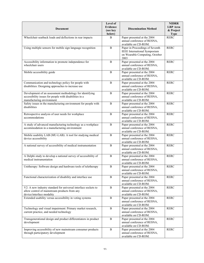| <b>Document</b>                                                                                                                                 | Level of<br><b>Evidence</b><br>(see key<br>below) | <b>Dissemination Method</b>                                                                                      | <b>NIDRR</b><br><b>LRP</b> Area<br>& Project<br><b>Type</b> |
|-------------------------------------------------------------------------------------------------------------------------------------------------|---------------------------------------------------|------------------------------------------------------------------------------------------------------------------|-------------------------------------------------------------|
| Wheelchair seatback loads and deflections in rear impacts                                                                                       | B                                                 | Paper presented at the 2004<br>annual conference of RESNA,<br>available on CD-ROM.                               | <b>RERC</b>                                                 |
| Using multiple sensors for mobile sign language recognition                                                                                     | $\, {\bf B}$                                      | Paper in Proceedings of Seventh<br><b>IEEE</b> International Symposium<br>on Wearable Computing, October<br>2003 | <b>RERC</b>                                                 |
| Accessibility information to promote independence for<br>wheelchair users                                                                       | $\, {\bf B}$                                      | Paper presented at the 2004<br>annual conference of RESNA,<br>available on CD-ROM.                               | <b>RERC</b>                                                 |
| Mobile accessibility guide                                                                                                                      | $\, {\bf B}$                                      | Paper presented at the 2004<br>annual conference of RESNA,<br>available on CD-ROM.                               | <b>RERC</b>                                                 |
| Communication and technology policy for people with<br>disabilities: Designing approaches to increase use                                       | B                                                 | Paper presented at the 2004<br>annual conference of RESNA,<br>available on CD-ROM.                               | <b>RERC</b>                                                 |
| Development of an assessment methodology for identifying<br>accessibility issues for people with disabilities in a<br>manufacturing environment | $\, {\bf B}$                                      | Paper presented at the 2004<br>annual conference of RESNA,<br>available on CD-ROM.                               | <b>RERC</b>                                                 |
| Safety issues in the manufacturing environment for people with<br>disabilities                                                                  | $\, {\bf B}$                                      | Paper presented at the 2004<br>annual conference of RESNA,<br>available on CD-ROM.                               | <b>RERC</b>                                                 |
| Retrospective analysis of user needs for workplace<br>accommodations                                                                            | B                                                 | Paper presented at the 2004<br>annual conference of RESNA,<br>available on CD-ROM.                               | <b>RERC</b>                                                 |
| A study of advanced manufacturing technology as a workplace<br>accommodation in a manufacturing environment                                     | B                                                 | Paper presented at the 2004<br>annual conference of RESNA,<br>available on CD-ROM.                               | <b>RERC</b>                                                 |
| Mobile usability LAB (MU-LAB): A tool for studying medical<br>device accessibility                                                              | B                                                 | Paper presented at the 2004<br>annual conference of RESNA,<br>available on CD-ROM.                               | <b>RERC</b>                                                 |
| A national survey of accessibility of medical instrumentation                                                                                   | B                                                 | Paper presented at the 2004<br>annual conference of RESNA,<br>available on CD-ROM.                               | <b>RERC</b>                                                 |
| A Delphi study to develop a national survey of accessibility of<br>medical instrumentation                                                      | B                                                 | Paper presented at the 2004<br>annual conference of RESNA,<br>available on CD-ROM.                               | <b>RERC</b>                                                 |
| Unitherapy: Software design and hardware tools of teletherapy                                                                                   | B                                                 | Paper presented at the 2004<br>annual conference of RESNA,<br>available on CD-ROM.                               | <b>RERC</b>                                                 |
| Functional characterization of disability and interface use                                                                                     | $\, {\bf B}$                                      | Paper presented at the 2004<br>annual conference of RESNA,<br>available on CD-ROM.                               | <b>RERC</b>                                                 |
| V2: A new industry standard for universal interface sockets to<br>allow control of mainstream products from any<br>device/interface modality    | $\, {\bf B}$                                      | Paper presented at the 2004<br>annual conference of RESNA,<br>available on CD-ROM.                               | <b>RERC</b>                                                 |
| Extended usability versus accessibility in voting systems                                                                                       | B                                                 | Paper presented at the 2004<br>annual conference of RESNA,<br>available on CD-ROM.                               | <b>RERC</b>                                                 |
| Technology and visual impairment: Primary market research,<br>current practice, and needed technology                                           | B                                                 | Paper presented at the 2004<br>annual conference of RESNA,<br>available on CD-ROM.                               | <b>RERC</b>                                                 |
| Transgenerational design and product differentiators in product<br>development                                                                  | $\, {\bf B}$                                      | Paper presented at the 2004<br>annual conference of RESNA,<br>available on CD-ROM.                               | <b>RERC</b>                                                 |
| Improving accessibility of new mainstream consumer products<br>through participatory development                                                | $\, {\bf B}$                                      | Paper presented at the 2004<br>annual conference of RESNA,<br>available on CD-ROM.                               | <b>RERC</b>                                                 |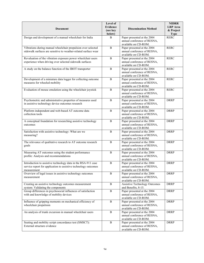| Document                                                                                                                                        | Level of<br><b>Evidence</b><br>(see key<br>below) | <b>Dissemination Method</b>                                                        | <b>NIDRR</b><br><b>LRP</b> Area<br>& Project<br><b>Type</b> |
|-------------------------------------------------------------------------------------------------------------------------------------------------|---------------------------------------------------|------------------------------------------------------------------------------------|-------------------------------------------------------------|
| Design and development of a manual wheelchair for India                                                                                         | B                                                 | Paper presented at the 2004<br>annual conference of RESNA,<br>available on CD-ROM. | <b>RERC</b>                                                 |
| Vibrations during manual wheelchair propulsion over selected<br>sidewalk surfaces are sensitive to weather-related surface wear                 | B                                                 | Paper presented at the 2004<br>annual conference of RESNA,<br>available on CD-ROM. | <b>RERC</b>                                                 |
| Revaluation of the vibration exposure power wheelchair users<br>experience when driving over selected sidewalk surfaces                         | $\, {\bf B}$                                      | Paper presented at the 2004<br>annual conference of RESNA,<br>available on CD-ROM. | <b>RERC</b>                                                 |
| A study on the balance function of the IBOT transporter                                                                                         | B                                                 | Paper presented at the 2004<br>annual conference of RESNA,<br>available on CD-ROM. | <b>RERC</b>                                                 |
| Development of a miniature data logger for collecting outcome<br>measures for wheeled mobility                                                  | $\, {\bf B}$                                      | Paper presented at the 2004<br>annual conference of RESNA,<br>available on CD-ROM. | <b>RERC</b>                                                 |
| Evaluation of mouse emulation using the wheelchair joystick                                                                                     | $\, {\bf B}$                                      | Paper presented at the 2004<br>annual conference of RESNA,<br>available on CD-ROM. | <b>RERC</b>                                                 |
| Psychometric and administrative properties of measures used<br>in assistive technology device outcomes research                                 | $\, {\bf B}$                                      | Paper presented at the 2004<br>annual conference of RESNA,<br>available on CD-ROM. | <b>DRRP</b>                                                 |
| Platform independent and web-based AT outcome data<br>collection tools                                                                          | B                                                 | Paper presented at the 2004<br>annual conference of RESNA,<br>available on CD-ROM. | <b>DRRP</b>                                                 |
| A conceptual foundation for researching assistive technology<br>outcomes                                                                        | $\, {\bf B}$                                      | Paper presented at the 2004<br>annual conference of RESNA,<br>available on CD-ROM. | <b>DRRP</b>                                                 |
| Satisfaction with assistive technology: What are we<br>measuring?                                                                               | B                                                 | Paper presented at the 2004<br>annual conference of RESNA,<br>available on CD-ROM. | <b>DRRP</b>                                                 |
| The relevance of qualitative research to AT outcome research<br>goals                                                                           | $\, {\bf B}$                                      | Paper presented at the 2004<br>annual conference of RESNA,<br>available on CD-ROM. | <b>DRRP</b>                                                 |
| Measuring AT outcomes using the student performance<br>profile: Analysis and recommendations                                                    | B                                                 | Paper presented at the 2004<br>annual conference of RESNA,<br>available on CD-ROM. | <b>DRRP</b>                                                 |
| Introduction to assistive technology data in the RSA-911 case<br>service report for application to assistive technology outcomes<br>measurement | B                                                 | Paper presented at the 2004<br>annual conference of RESNA,<br>available on CD-ROM. | <b>DRRP</b>                                                 |
| Overview of legal issues in assistive technology outcomes<br>measurement                                                                        | B                                                 | Paper presented at the 2004<br>annual conference of RESNA,<br>available on CD-ROM. | <b>DRRP</b>                                                 |
| Creating an assistive technology outcomes measurement<br>system: Validating the components                                                      | B                                                 | <b>Assistive Technology Outcomes</b><br>and Benefits, 8-15.                        | <b>DRRP</b>                                                 |
| Group differences in psychosocial influences of satisfaction<br>with and knowledge of mobility devices                                          | B                                                 | Paper presented at the 2004<br>annual conference of RESNA,<br>available on CD-ROM. | <b>DRRP</b>                                                 |
| Influence of gripping moments on mechanical efficiency of<br>wheelchair propulsion                                                              | B                                                 | Paper presented at the 2004<br>annual conference of RESNA,<br>available on CD-ROM. | <b>DRRP</b>                                                 |
| An analysis of trunk excursion in manual wheelchair users                                                                                       | B                                                 | Paper presented at the 2004<br>annual conference of RESNA,<br>available on CD-ROM. | <b>DRRP</b>                                                 |
| Seating and mobility script concordance test (SMSCT):<br>External structure evidence                                                            | $\, {\bf B}$                                      | Paper presented at the 2004<br>annual conference of RESNA,<br>available on CD-ROM. | <b>DRRP</b>                                                 |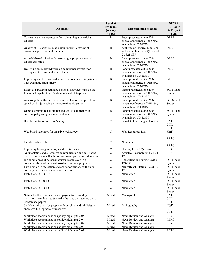| <b>Document</b>                                                                                                                              | Level of<br><b>Evidence</b><br>(see key<br>below) | <b>Dissemination Method</b>                                                        | <b>NIDRR</b><br><b>LRP</b> Area<br>& Project<br><b>Type</b>          |
|----------------------------------------------------------------------------------------------------------------------------------------------|---------------------------------------------------|------------------------------------------------------------------------------------|----------------------------------------------------------------------|
| Corrective actions necessary for maintaining a wheelchair<br>wheelie                                                                         | B                                                 | Paper presented at the 2004<br>annual conference of RESNA,<br>available on CD-ROM. | <b>DRRP</b>                                                          |
| Quality of life after traumatic brain injury: A review of<br>research approaches and findings                                                | B                                                 | Archives of Physical Medicine<br>and Rehabilitation, 85(4, Suppl<br>2), S21-S35.   | <b>DRRP</b>                                                          |
| A model-based criterion for assessing appropriateness of<br>wheelchair setup                                                                 | $\mathbf B$                                       | Paper presented at the 2004<br>annual conference of RESNA,<br>available on CD-ROM. | <b>DRRP</b>                                                          |
| Designing an improved variable compliance joystick for<br>driving electric powered wheelchairs                                               | B                                                 | Paper presented at the 2004<br>annual conference of RESNA,<br>available on CD-ROM. | <b>DRRP</b>                                                          |
| Improving electric powered wheelchair operation for patients<br>with traumatic brain injury                                                  | B                                                 | Paper presented at the 2004<br>annual conference of RESNA,<br>available on CD-ROM. | <b>DRRP</b>                                                          |
| Effect of a pushrim activated power assist wheelchair on the<br>functional capabilities of individuals with tetraplegia                      | $\overline{B}$                                    | Paper presented at the 2004<br>annual conference of RESNA,<br>available on CD-ROM. | <b>SCI</b> Model<br>System                                           |
| Assessing the influence of assistive technology on people with<br>spinal cord injury using a measure of participation                        | B                                                 | Paper presented at the 2004<br>annual conference of RESNA,<br>available on CD-ROM. | <b>SCI</b> Model<br>System                                           |
| Upper extremity rehabilitation analysis of children with<br>cerebral palsy using posterior walkers                                           | B                                                 | Paper presented at the 2004<br>annual conference of RESNA,<br>available on CD-ROM. | <b>SCI</b> Model<br>System                                           |
| Health care transitions: Jim's story                                                                                                         | $\mathbf C$                                       | Booklet Describing Video tape                                                      | H&F<br>CI/IL<br><b>RRTC</b>                                          |
| Web based resources for assistive technology                                                                                                 | $\mathcal{C}$                                     | Web Resources List                                                                 | H&F<br>CI/IL<br><b>RRTC</b>                                          |
| Family quality of life                                                                                                                       | $\mathcal{C}$                                     | Newsletter                                                                         | CI/IL<br><b>RRTC</b>                                                 |
| Improving hearing aid design and performance                                                                                                 | $\mathbf C$                                       | Hearing Loss, 25(4), 26-31                                                         | <b>RERC</b>                                                          |
| Augmentative and alternative communication and cell phone<br>use: One off-the-shelf solution and some policy considerations                  | $\overline{C}$                                    | Assistive Technology, 16(1), 11-<br>17                                             | <b>RERC</b>                                                          |
| Job experiences of personal assistants employed in a<br>consumer-directed personal assistance service programs                               | $\overline{C}$                                    | Rehabilitation Nursing, 29(5),<br>174-179                                          | <b>SCI</b> Model<br>System                                           |
| Participation in recreation and sports for persons with spinal<br>cord injury: Review and recommendations                                    | $\mathcal{C}$                                     | NeuroRehabilitation, 19(2), 121-<br>129                                            | <b>SCI</b> Model<br>System                                           |
| Pushin' on. 20(1) 1-8                                                                                                                        | $\mathbf C$                                       | Newsletter                                                                         | SCI Model<br>System                                                  |
| Pushin' on. $20(2)$ 1-8                                                                                                                      | $\mathbf C$                                       | Newsletter                                                                         | <b>SCI</b> Model<br>System                                           |
| Pushin' on. 20(1) 1-8                                                                                                                        | $\mathsf{C}$                                      | Newsletter                                                                         | SCI Model<br>System                                                  |
| National self-determination and psychiatric disability<br>invitational conference: We make the road by traveling on it:<br>Conference papers | Mixed                                             | Monograph                                                                          | $H\&F$<br>$\mathrm{C}\mathrm{I}/\mathrm{I}\mathrm{L}$<br><b>RRTC</b> |
| Self-determination for people with psychiatric disabilities: An<br>annotated bibliography of resources                                       | Mixed                                             | Bibliography                                                                       | H&F<br>$\mathrm{C}\mathrm{I}/\mathrm{I}\mathrm{L}$<br><b>RRTC</b>    |
| Workplace accommodations policy highlights 2.05                                                                                              | Mixed                                             | News Review and Analysis                                                           | <b>RERC</b>                                                          |
| Workplace accommodations policy highlights 2.04                                                                                              | Mixed                                             | News Review and Analysis                                                           | <b>RERC</b>                                                          |
| Workplace accommodations policy highlights 2.02                                                                                              | Mixed                                             | News Review and Analysis                                                           | <b>RERC</b>                                                          |
| Workplace accommodations policy highlights 2.03<br>Workplace accommodations policy highlights 2.01                                           | Mixed<br>Mixed                                    | News Review and Analysis<br>News Review and Analysis                               | <b>RERC</b><br><b>RERC</b>                                           |
|                                                                                                                                              |                                                   |                                                                                    |                                                                      |